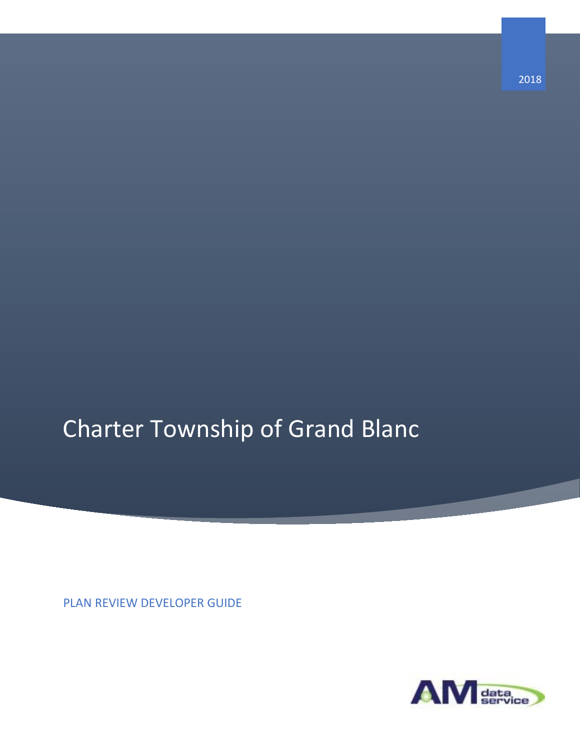# Charter Township of Grand Blanc

PLAN REVIEW DEVELOPER GUIDE

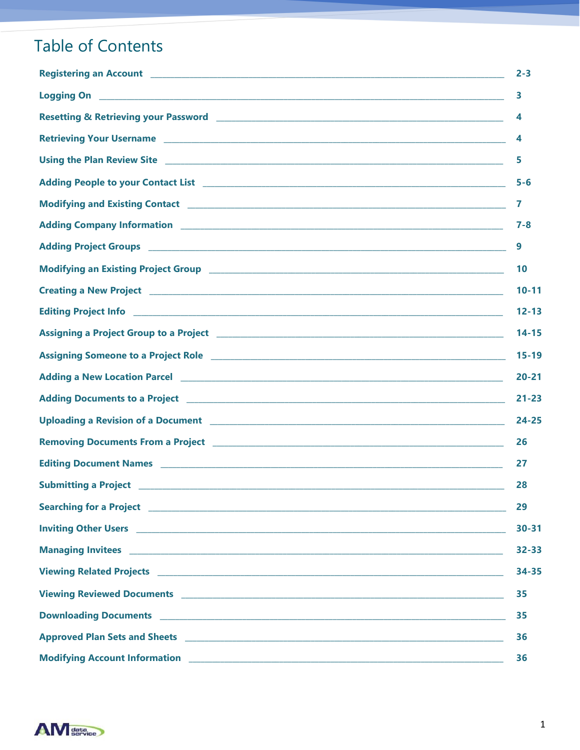# **Table of Contents**

|                                                                                                                                                                                                                                      | $2 - 3$   |
|--------------------------------------------------------------------------------------------------------------------------------------------------------------------------------------------------------------------------------------|-----------|
| Logging On <b>contract the contract of the contract of the contract of the contract of the contract of the contract of the contract of the contract of the contract of the contract of the contract of the contract of the contr</b> | 3         |
|                                                                                                                                                                                                                                      | 4         |
|                                                                                                                                                                                                                                      | 4         |
|                                                                                                                                                                                                                                      | 5         |
|                                                                                                                                                                                                                                      | $5 - 6$   |
|                                                                                                                                                                                                                                      | 7         |
|                                                                                                                                                                                                                                      | $7 - 8$   |
|                                                                                                                                                                                                                                      | 9         |
|                                                                                                                                                                                                                                      | 10        |
|                                                                                                                                                                                                                                      | $10 - 11$ |
|                                                                                                                                                                                                                                      | $12 - 13$ |
|                                                                                                                                                                                                                                      | $14 - 15$ |
|                                                                                                                                                                                                                                      | $15 - 19$ |
|                                                                                                                                                                                                                                      | $20 - 21$ |
|                                                                                                                                                                                                                                      | $21 - 23$ |
|                                                                                                                                                                                                                                      | $24 - 25$ |
|                                                                                                                                                                                                                                      | 26        |
|                                                                                                                                                                                                                                      | 27        |
| <b>Submitting a Project</b>                                                                                                                                                                                                          | 28        |
|                                                                                                                                                                                                                                      | 29        |
|                                                                                                                                                                                                                                      | $30 - 31$ |
|                                                                                                                                                                                                                                      | 32-33     |
|                                                                                                                                                                                                                                      | 34-35     |
|                                                                                                                                                                                                                                      | 35        |
|                                                                                                                                                                                                                                      | 35        |
|                                                                                                                                                                                                                                      | 36        |
|                                                                                                                                                                                                                                      | 36        |

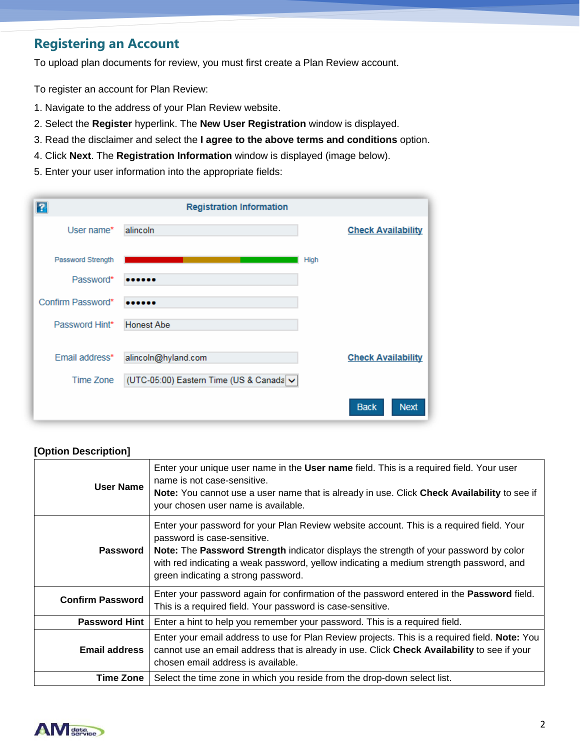### **Registering an Account**

To upload plan documents for review, you must first create a Plan Review account.

To register an account for Plan Review:

- 1. Navigate to the address of your Plan Review website.
- 2. Select the **Register** hyperlink. The **New User Registration** window is displayed.
- 3. Read the disclaimer and select the **I agree to the above terms and conditions** option.
- 4. Click **Next**. The **Registration Information** window is displayed (image below).
- 5. Enter your user information into the appropriate fields:

| ?                 | <b>Registration Information</b>         |             |                            |
|-------------------|-----------------------------------------|-------------|----------------------------|
| User name*        | alincoln                                |             | <b>Check Availability</b>  |
| Password Strength |                                         | <b>High</b> |                            |
| Password*         |                                         |             |                            |
| Confirm Password* |                                         |             |                            |
| Password Hint*    | <b>Honest Abe</b>                       |             |                            |
|                   |                                         |             |                            |
| Email address*    | alincoln@hyland.com                     |             | <b>Check Availability</b>  |
| Time Zone         | (UTC-05:00) Eastern Time (US & Canada v |             |                            |
|                   |                                         |             | <b>Next</b><br><b>Back</b> |

#### **[Option Description] User Name** Enter your unique user name in the **User name** field. This is a required field. Your user name is not case-sensitive. **Note:** You cannot use a user name that is already in use. Click **Check Availability** to see if your chosen user name is available. **Password** Enter your password for your Plan Review website account. This is a required field. Your password is case-sensitive. **Note:** The **Password Strength** indicator displays the strength of your password by color with red indicating a weak password, yellow indicating a medium strength password, and green indicating a strong password. **Confirm Password** Enter your password again for confirmation of the password entered in the **Password** field. This is a required field. Your password is case-sensitive. **Password Hint** | Enter a hint to help you remember your password. This is a required field. **Email address** Enter your email address to use for Plan Review projects. This is a required field. **Note:** You cannot use an email address that is already in use. Click **Check Availability** to see if your chosen email address is available.



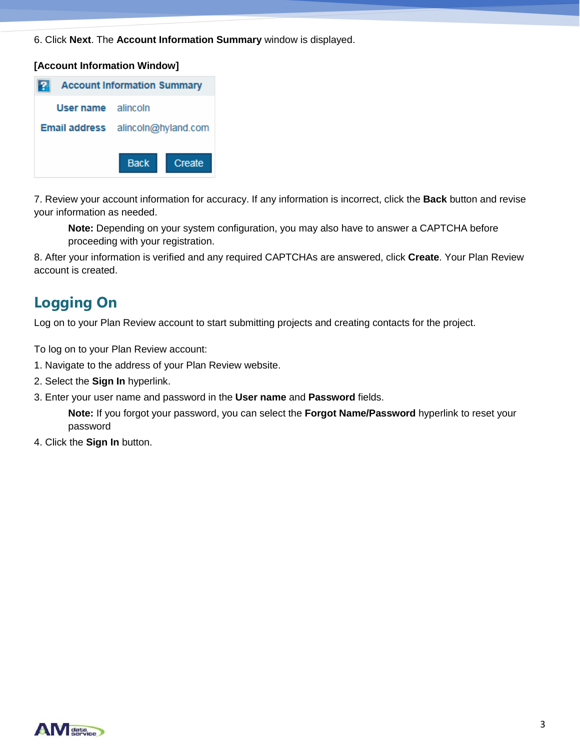6. Click **Next**. The **Account Information Summary** window is displayed.

### **Account Information Summary** 12 User name alincoln Email address alincoln@hyland.com **Back** Create

**[Account Information Window]**

7. Review your account information for accuracy. If any information is incorrect, click the **Back** button and revise your information as needed.

**Note:** Depending on your system configuration, you may also have to answer a CAPTCHA before proceeding with your registration.

8. After your information is verified and any required CAPTCHAs are answered, click **Create**. Your Plan Review account is created.

### **Logging On**

Log on to your Plan Review account to start submitting projects and creating contacts for the project.

To log on to your Plan Review account:

- 1. Navigate to the address of your Plan Review website.
- 2. Select the **Sign In** hyperlink.
- 3. Enter your user name and password in the **User name** and **Password** fields.

**Note:** If you forgot your password, you can select the **Forgot Name/Password** hyperlink to reset your password

4. Click the **Sign In** button.

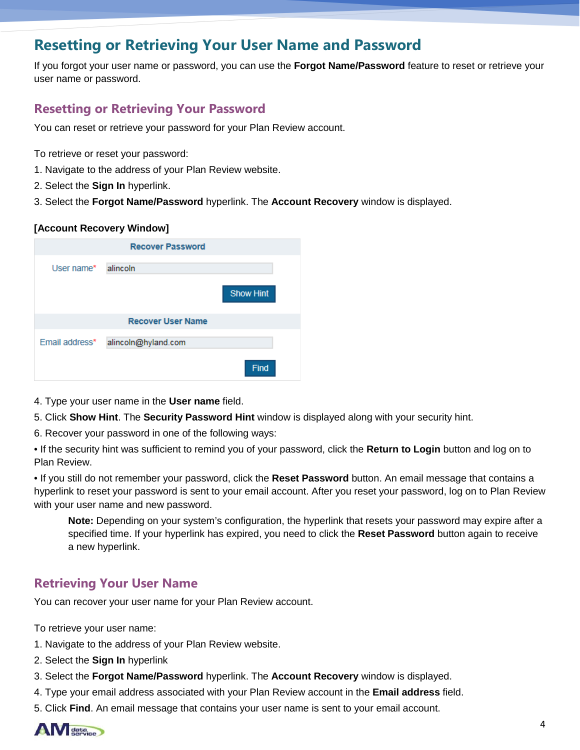### **Resetting or Retrieving Your User Name and Password**

If you forgot your user name or password, you can use the **Forgot Name/Password** feature to reset or retrieve your user name or password.

### **Resetting or Retrieving Your Password**

You can reset or retrieve your password for your Plan Review account.

- To retrieve or reset your password:
- 1. Navigate to the address of your Plan Review website.
- 2. Select the **Sign In** hyperlink.
- 3. Select the **Forgot Name/Password** hyperlink. The **Account Recovery** window is displayed.

### **[Account Recovery Window]**

| <b>Recover Password</b> |                          |                  |  |  |
|-------------------------|--------------------------|------------------|--|--|
| User name*              | alincoln                 |                  |  |  |
|                         |                          | <b>Show Hint</b> |  |  |
|                         | <b>Recover User Name</b> |                  |  |  |
| Email address*          | alincoln@hyland.com      |                  |  |  |
|                         |                          | Find             |  |  |

- 4. Type your user name in the **User name** field.
- 5. Click **Show Hint**. The **Security Password Hint** window is displayed along with your security hint.
- 6. Recover your password in one of the following ways:
- If the security hint was sufficient to remind you of your password, click the **Return to Login** button and log on to Plan Review.

• If you still do not remember your password, click the **Reset Password** button. An email message that contains a hyperlink to reset your password is sent to your email account. After you reset your password, log on to Plan Review with your user name and new password.

**Note:** Depending on your system's configuration, the hyperlink that resets your password may expire after a specified time. If your hyperlink has expired, you need to click the **Reset Password** button again to receive a new hyperlink.

### **Retrieving Your User Name**

You can recover your user name for your Plan Review account.

To retrieve your user name:

- 1. Navigate to the address of your Plan Review website.
- 2. Select the **Sign In** hyperlink
- 3. Select the **Forgot Name/Password** hyperlink. The **Account Recovery** window is displayed.
- 4. Type your email address associated with your Plan Review account in the **Email address** field.
- 5. Click **Find**. An email message that contains your user name is sent to your email account.

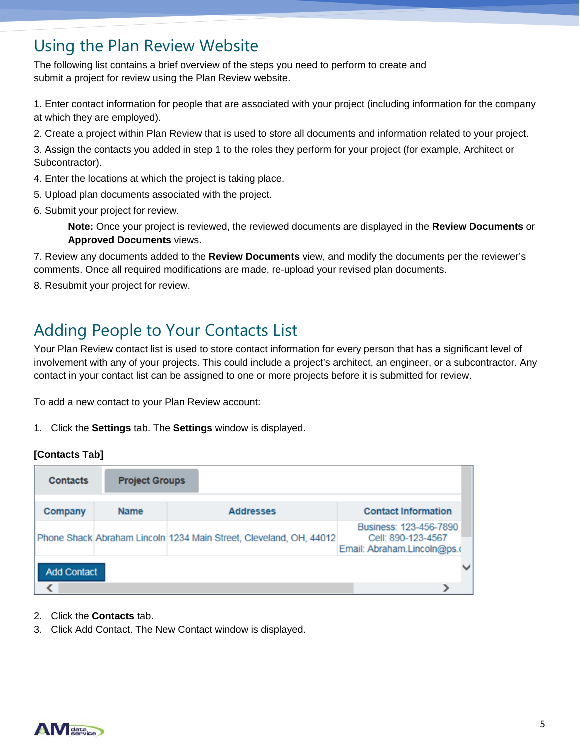### Using the Plan Review Website

The following list contains a brief overview of the steps you need to perform to create and submit a project for review using the Plan Review website.

1. Enter contact information for people that are associated with your project (including information for the company at which they are employed).

2. Create a project within Plan Review that is used to store all documents and information related to your project.

3. Assign the contacts you added in step 1 to the roles they perform for your project (for example, Architect or Subcontractor).

4. Enter the locations at which the project is taking place.

- 5. Upload plan documents associated with the project.
- 6. Submit your project for review.

**Note:** Once your project is reviewed, the reviewed documents are displayed in the **Review Documents** or **Approved Documents views.** 

7. Review any documents added to the **Review Documents** view, and modify the documents per the reviewer's comments. Once all required modifications are made, re-upload your revised plan documents.

8. Resubmit your project for review.

# Adding People to Your Contacts List

Your Plan Review contact list is used to store contact information for every person that has a significant level of involvement with any of your projects. This could include a project's architect, an engineer, or a subcontractor. Any contact in your contact list can be assigned to one or more projects before it is submitted for review.

To add a new contact to your Plan Review account:

1. Click the **Settings** tab. The **Settings** window is displayed.

### **[Contacts Tab]**

| <b>Contacts</b>    | <b>Project Groups</b> |                                                                    |                                                                             |  |
|--------------------|-----------------------|--------------------------------------------------------------------|-----------------------------------------------------------------------------|--|
| Company            | <b>Name</b>           | <b>Addresses</b>                                                   | <b>Contact Information</b>                                                  |  |
|                    |                       | Phone Shack Abraham Lincoln 1234 Main Street, Cleveland, OH, 44012 | Business: 123-456-7890<br>Cell: 890-123-4567<br>Email: Abraham.Lincoln@ps.o |  |
| <b>Add Contact</b> |                       |                                                                    |                                                                             |  |
|                    |                       |                                                                    |                                                                             |  |

- 2. Click the **Contacts** tab.
- 3. Click Add Contact. The New Contact window is displayed.

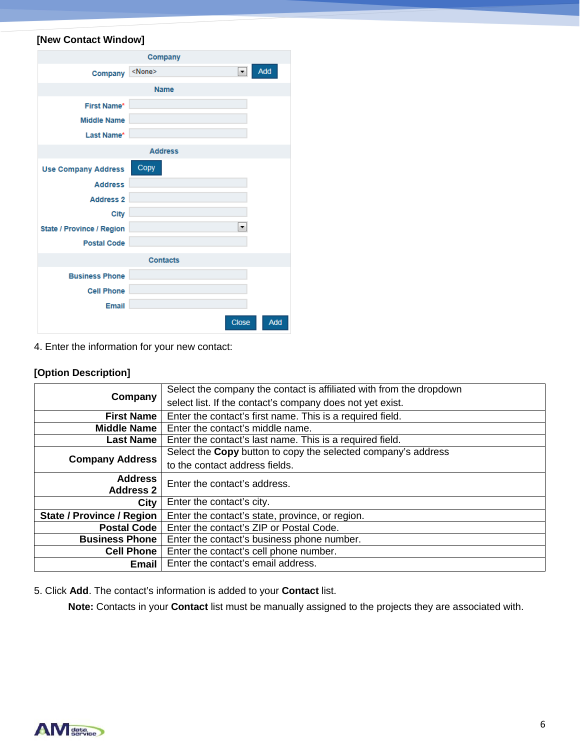### **[New Contact Window]**

|                            | Company         |              |
|----------------------------|-----------------|--------------|
| Company                    | <none></none>   | Add<br>۰     |
|                            | <b>Name</b>     |              |
| <b>First Name*</b>         |                 |              |
| <b>Middle Name</b>         |                 |              |
| Last Name*                 |                 |              |
|                            | <b>Address</b>  |              |
| <b>Use Company Address</b> | Copy            |              |
| <b>Address</b>             |                 |              |
| <b>Address 2</b>           |                 |              |
| <b>City</b>                |                 |              |
| State / Province / Region  |                 | ۰            |
| <b>Postal Code</b>         |                 |              |
|                            | <b>Contacts</b> |              |
| <b>Business Phone</b>      |                 |              |
| <b>Cell Phone</b>          |                 |              |
| <b>Email</b>               |                 |              |
|                            |                 | Close<br>Add |

### 4. Enter the information for your new contact:

### **[Option Description]**

| Select the company the contact is affiliated with from the dropdown |  |
|---------------------------------------------------------------------|--|
| select list. If the contact's company does not yet exist.           |  |
| Enter the contact's first name. This is a required field.           |  |
| Enter the contact's middle name.                                    |  |
| Enter the contact's last name. This is a required field.            |  |
| Select the Copy button to copy the selected company's address       |  |
| to the contact address fields.                                      |  |
| Enter the contact's address.                                        |  |
|                                                                     |  |
| Enter the contact's city.<br>City                                   |  |
| Enter the contact's state, province, or region.                     |  |
| Enter the contact's ZIP or Postal Code.<br><b>Postal Code</b>       |  |
| <b>Business Phone</b><br>Enter the contact's business phone number. |  |
| Enter the contact's cell phone number.<br><b>Cell Phone</b>         |  |
| Enter the contact's email address.                                  |  |
| <b>Address</b>                                                      |  |

5. Click **Add**. The contact's information is added to your **Contact** list.

**Note:** Contacts in your **Contact** list must be manually assigned to the projects they are associated with.

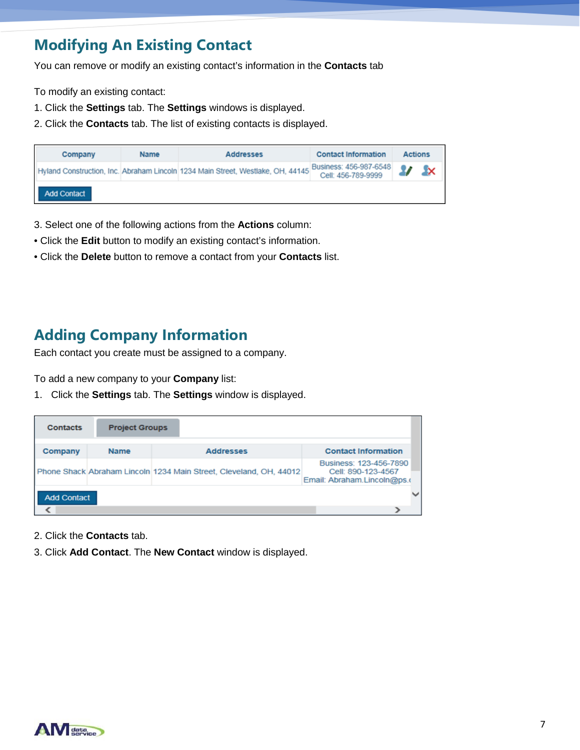### **Modifying An Existing Contact**

You can remove or modify an existing contact's information in the **Contacts** tab

To modify an existing contact:

- 1. Click the **Settings** tab. The **Settings** windows is displayed.
- 2. Click the **Contacts** tab. The list of existing contacts is displayed.

| Company     | <b>Name</b> | <b>Addresses</b>                                                                | <b>Contact Information</b>                   | <b>Actions</b> |                  |
|-------------|-------------|---------------------------------------------------------------------------------|----------------------------------------------|----------------|------------------|
|             |             | Hyland Construction, Inc. Abraham Lincoln 1234 Main Street, Westlake, OH, 44145 | Business: 456-987-6548<br>Cell: 456-789-9999 | $\mathbf{z}$   | - <sup>1</sup> × |
| Add Contact |             |                                                                                 |                                              |                |                  |

- 3. Select one of the following actions from the **Actions** column:
- Click the **Edit** button to modify an existing contact's information.
- Click the **Delete** button to remove a contact from your **Contacts** list.

### **Adding Company Information**

Each contact you create must be assigned to a company.

To add a new company to your **Company** list:

1. Click the **Settings** tab. The **Settings** window is displayed.

| <b>Contacts</b>    | <b>Project Groups</b> |                                                                    |                                                                             |
|--------------------|-----------------------|--------------------------------------------------------------------|-----------------------------------------------------------------------------|
| Company            | <b>Name</b>           | <b>Addresses</b>                                                   | <b>Contact Information</b>                                                  |
|                    |                       | Phone Shack Abraham Lincoln 1234 Main Street, Cleveland, OH, 44012 | Business: 123-456-7890<br>Cell: 890-123-4567<br>Email: Abraham.Lincoln@ps.o |
| <b>Add Contact</b> |                       |                                                                    |                                                                             |
|                    |                       |                                                                    |                                                                             |

- 2. Click the **Contacts** tab.
- 3. Click Add Contact. The New Contact window is displayed.

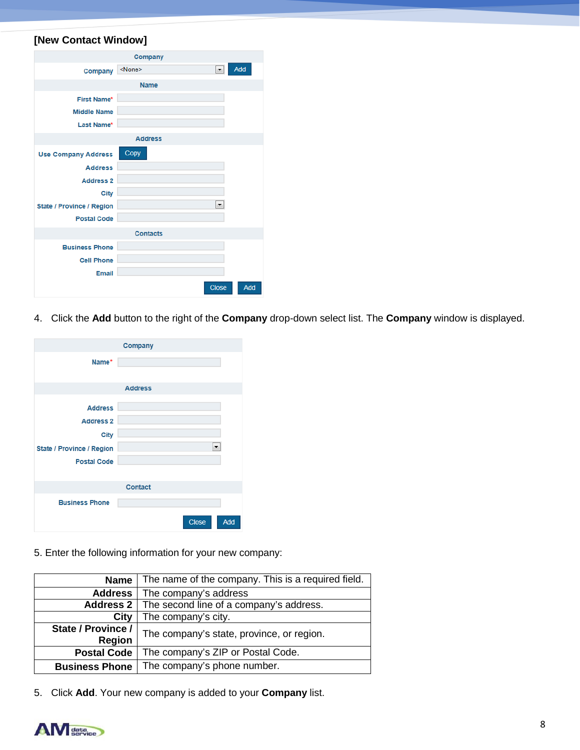### **[New Contact Window]**

|                                  | Company                                                      |     |
|----------------------------------|--------------------------------------------------------------|-----|
| Company                          | Add<br><none><br/><math>\overline{\phantom{a}}</math></none> |     |
|                                  | <b>Name</b>                                                  |     |
| <b>First Name*</b>               |                                                              |     |
| <b>Middle Name</b>               |                                                              |     |
| Last Name*                       |                                                              |     |
|                                  | <b>Address</b>                                               |     |
| <b>Use Company Address</b>       | Copy                                                         |     |
| <b>Address</b>                   |                                                              |     |
| <b>Address 2</b>                 |                                                              |     |
| <b>City</b>                      |                                                              |     |
| <b>State / Province / Region</b> |                                                              |     |
| <b>Postal Code</b>               |                                                              |     |
|                                  | <b>Contacts</b>                                              |     |
| <b>Business Phone</b>            |                                                              |     |
| <b>Cell Phone</b>                |                                                              |     |
| <b>Email</b>                     |                                                              |     |
|                                  | Close                                                        | Add |

4. Click the **Add** button to the right of the **Company** drop-down select list. The **Company** window is displayed.

|                           | Company        |
|---------------------------|----------------|
| Name*                     |                |
|                           | <b>Address</b> |
|                           |                |
| <b>Address</b>            |                |
| <b>Address 2</b>          |                |
| <b>City</b>               |                |
| State / Province / Region | ▼              |
| <b>Postal Code</b>        |                |
|                           |                |
|                           | <b>Contact</b> |
| <b>Business Phone</b>     |                |
|                           | Add<br>Close   |

5. Enter the following information for your new company:

| <b>Name</b>                         | The name of the company. This is a required field. |  |
|-------------------------------------|----------------------------------------------------|--|
| <b>Address</b>                      | The company's address                              |  |
| Address 2                           | The second line of a company's address.            |  |
| City                                | The company's city.                                |  |
| State / Province /<br><b>Region</b> | The company's state, province, or region.          |  |
| <b>Postal Code</b>                  | The company's ZIP or Postal Code.                  |  |
| <b>Business Phone</b>               | The company's phone number.                        |  |

5. Click Add. Your new company is added to your Company list.

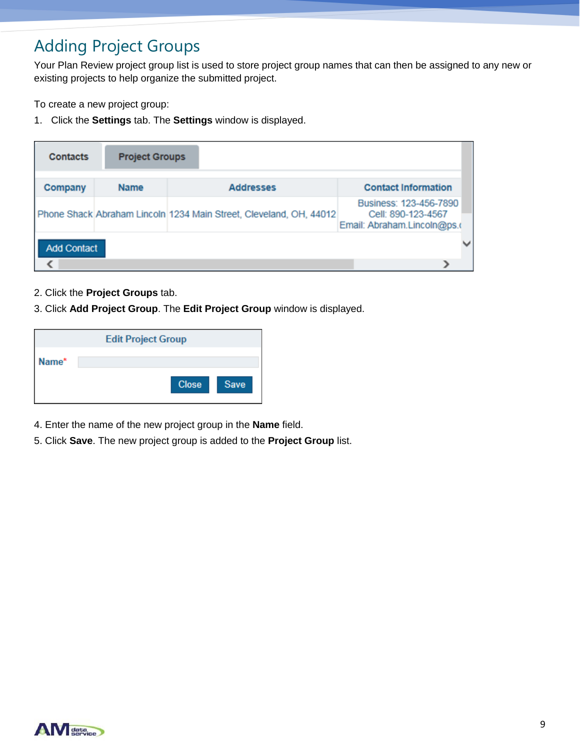# Adding Project Groups

Your Plan Review project group list is used to store project group names that can then be assigned to any new or existing projects to help organize the submitted project.

To create a new project group:

1. Click the **Settings** tab. The **Settings** window is displayed.

| <b>Contacts</b>    | <b>Project Groups</b> |                                                                    |                                                                             |  |
|--------------------|-----------------------|--------------------------------------------------------------------|-----------------------------------------------------------------------------|--|
| Company            | <b>Name</b>           | <b>Addresses</b>                                                   | <b>Contact Information</b>                                                  |  |
|                    |                       | Phone Shack Abraham Lincoln 1234 Main Street, Cleveland, OH, 44012 | Business: 123-456-7890<br>Cell: 890-123-4567<br>Email: Abraham.Lincoln@ps.o |  |
| <b>Add Contact</b> |                       |                                                                    |                                                                             |  |

- 2. Click the **Project Groups** tab.
- 3. Click **Add Project Group**. The **Edit Project Group** window is displayed.

|       | <b>Edit Project Group</b> |      |
|-------|---------------------------|------|
| Name* | <b>Close</b>              | Save |

- 4. Enter the name of the new project group in the **Name** field.
- 5. Click **Save**. The new project group is added to the **Project Group** list.

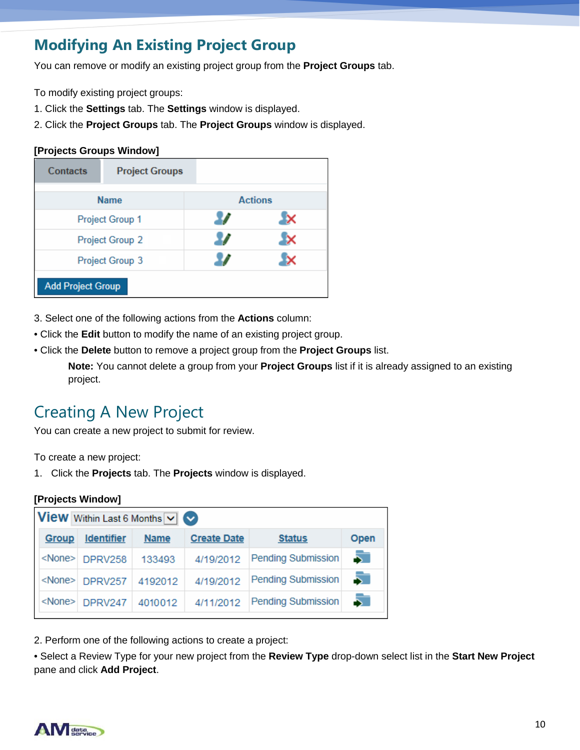### **Modifying An Existing Project Group**

You can remove or modify an existing project group from the **Project Groups** tab.

To modify existing project groups:

- 1. Click the **Settings** tab. The **Settings** window is displayed.
- 2. Click the **Project Groups** tab. The **Project Groups** window is displayed.

### **[Projects Groups Window]**

| Contacts                 | <b>Project Groups</b> |                |
|--------------------------|-----------------------|----------------|
|                          | <b>Name</b>           | <b>Actions</b> |
|                          | Project Group 1       |                |
|                          | Project Group 2       |                |
|                          | Project Group 3       |                |
| <b>Add Project Group</b> |                       |                |

- 3. Select one of the following actions from the **Actions** column:
- Click the **Edit** button to modify the name of an existing project group.
- Click the **Delete** button to remove a project group from the **Project Groups** list.

**Note:** You cannot delete a group from your **Project Groups** list if it is already assigned to an existing project.

# Creating A New Project

You can create a new project to submit for review.

To create a new project:

1. Click the **Projects** tab. The **Projects** window is displayed.

### **[Projects Window]**

|               | <b>View</b> Within Last 6 Months $\vee$ |             |                    |                           |      |
|---------------|-----------------------------------------|-------------|--------------------|---------------------------|------|
| Group         | <b>Identifier</b>                       | <b>Name</b> | <b>Create Date</b> | <b>Status</b>             | Open |
|               | <none> DPRV258</none>                   | 133493      | 4/19/2012          | <b>Pending Submission</b> | 5    |
|               | <none> DPRV257</none>                   | 4192012     | 4/19/2012          | <b>Pending Submission</b> |      |
| <none></none> | DPRV247                                 | 4010012     | 4/11/2012          | <b>Pending Submission</b> |      |

2. Perform one of the following actions to create a project:

• Select a Review Type for your new project from the **Review Type** drop-down select list in the **Start New Project**  pane and click **Add Project**.

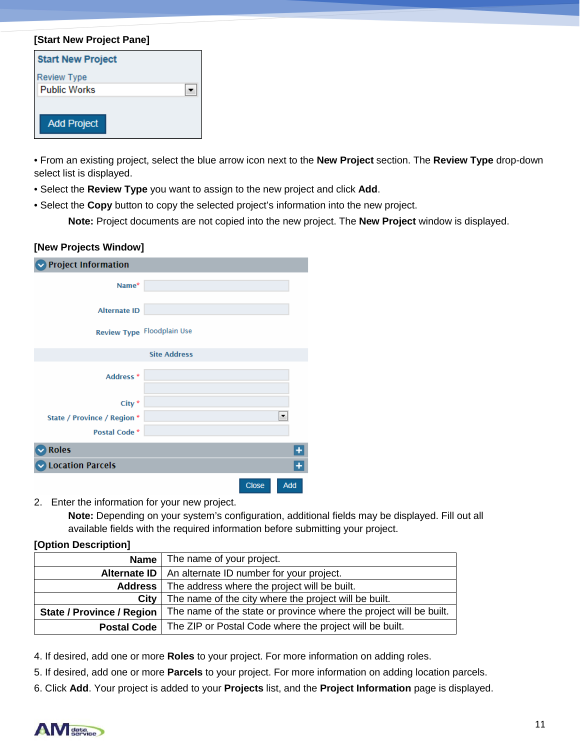#### **[Start New Project Pane]**

| <b>Start New Project</b> |  |
|--------------------------|--|
| <b>Review Type</b>       |  |
| <b>Public Works</b>      |  |
|                          |  |
| <b>Add Project</b>       |  |

• From an existing project, select the blue arrow icon next to the **New Project** section. The **Review Type** drop-down select list is displayed.

- Select the **Review Type** you want to assign to the new project and click **Add**.
- Select the **Copy** button to copy the selected project's information into the new project.

**Note:** Project documents are not copied into the new project. The **New Project** window is displayed.

#### **[New Projects Window]**

| <b>Project Information</b>  |                            |  |
|-----------------------------|----------------------------|--|
| Name*                       |                            |  |
| <b>Alternate ID</b>         |                            |  |
|                             | Review Type Floodplain Use |  |
|                             | <b>Site Address</b>        |  |
| Address <sup>*</sup>        |                            |  |
| City <sup>*</sup>           |                            |  |
| State / Province / Region * |                            |  |
| Postal Code <sup>*</sup>    |                            |  |
| <b>Roles</b>                |                            |  |
| <b>Location Parcels</b>     |                            |  |
|                             | <b>Close</b><br>Add        |  |

2. Enter the information for your new project.

**Note:** Depending on your system's configuration, additional fields may be displayed. Fill out all available fields with the required information before submitting your project.

#### **[Option Description]**

| Name                             | The name of your project.                                          |
|----------------------------------|--------------------------------------------------------------------|
|                                  | Alternate ID   An alternate ID number for your project.            |
|                                  | <b>Address</b>   The address where the project will be built.      |
| City                             | The name of the city where the project will be built.              |
| <b>State / Province / Region</b> | The name of the state or province where the project will be built. |
| Postal Code                      | The ZIP or Postal Code where the project will be built.            |

4. If desired, add one or more **Roles** to your project. For more information on adding roles.

5. If desired, add one or more **Parcels** to your project. For more information on adding location parcels.

6. Click **Add**. Your project is added to your **Projects** list, and the **Project Information** page is displayed.

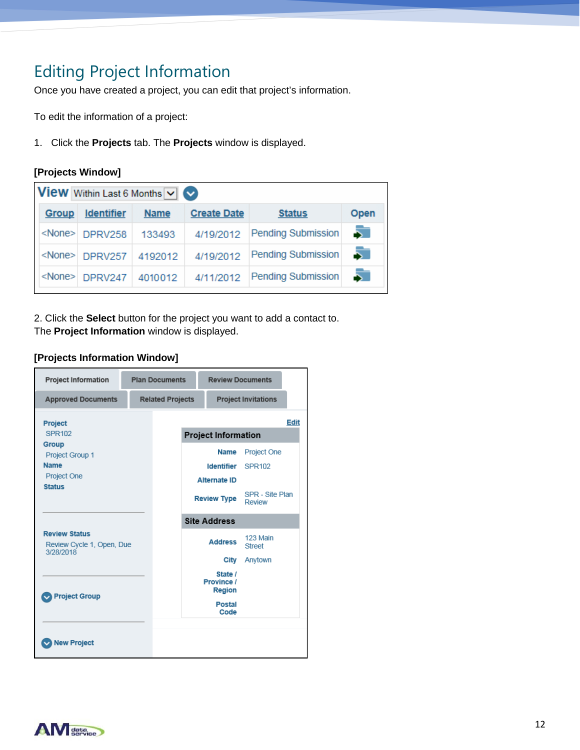# Editing Project Information

Once you have created a project, you can edit that project's information.

To edit the information of a project:

1. Click the **Projects** tab. The **Projects** window is displayed.

### **[Projects Window]**

|       | <b>View</b> Within Last 6 Months $\boxed{\vee}$ |             |                    |                           |      |
|-------|-------------------------------------------------|-------------|--------------------|---------------------------|------|
| Group | <b>Identifier</b>                               | <b>Name</b> | <b>Create Date</b> | <b>Status</b>             | Open |
|       | <none> DPRV258</none>                           | 133493      | 4/19/2012          | Pending Submission        | 5    |
|       | <none> DPRV257</none>                           | 4192012     | 4/19/2012          | <b>Pending Submission</b> |      |
|       | <none> DPRV247</none>                           | 4010012     | 4/11/2012          | <b>Pending Submission</b> |      |

2. Click the **Select** button for the project you want to add a contact to. The **Project Information** window is displayed.

### **[Projects Information Window]**

| <b>Project Information</b>                                              | <b>Plan Documents</b>   | <b>Review Documents</b>                                 |                                     |             |
|-------------------------------------------------------------------------|-------------------------|---------------------------------------------------------|-------------------------------------|-------------|
| <b>Approved Documents</b>                                               | <b>Related Projects</b> |                                                         | <b>Project Invitations</b>          |             |
| Project<br>SPR102                                                       |                         | <b>Project Information</b>                              |                                     | <b>Edit</b> |
| Group<br>Project Group 1<br><b>Name</b><br>Project One<br><b>Status</b> |                         | <b>Name</b><br><b>Identifier</b><br><b>Alternate ID</b> | <b>Project One</b><br><b>SPR102</b> |             |
|                                                                         |                         | <b>Review Type</b>                                      | SPR - Site Plan<br>Review           |             |
|                                                                         |                         | <b>Site Address</b>                                     |                                     |             |
| <b>Review Status</b><br>Review Cycle 1, Open, Due<br>3/28/2018          |                         | <b>Address</b>                                          | 123 Main<br><b>Street</b>           |             |
|                                                                         |                         | City                                                    | Anytown                             |             |
| <b>Project Group</b>                                                    |                         | State /<br>Province /<br><b>Region</b>                  |                                     |             |
|                                                                         |                         | <b>Postal</b><br>Code                                   |                                     |             |
| <b>New Project</b>                                                      |                         |                                                         |                                     |             |

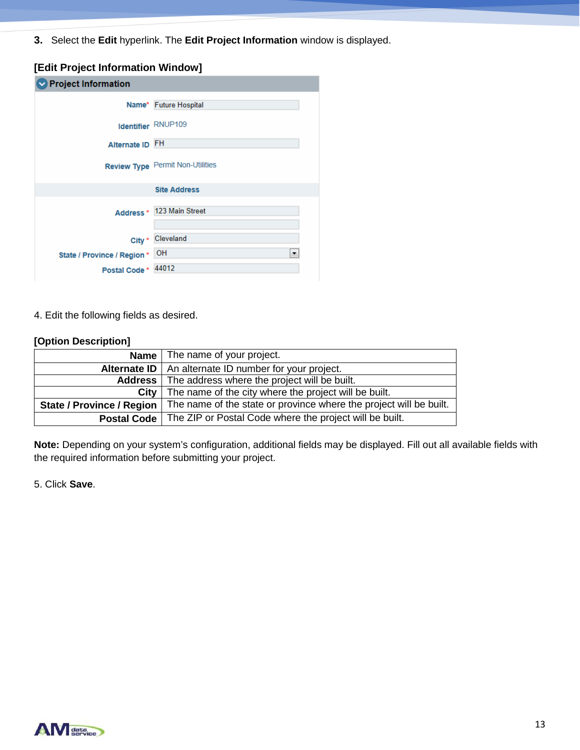**3.** Select the **Edit** hyperlink. The **Edit Project Information** window is displayed.

### **[Edit Project Information Window]**

| $\blacktriangleright$ Project Information |                                  |
|-------------------------------------------|----------------------------------|
|                                           | Name* Future Hospital            |
|                                           | Identifier RNUP109               |
| Alternate ID FH                           |                                  |
|                                           | Review Type Permit Non-Utilities |
|                                           | <b>Site Address</b>              |
|                                           | Address * 123 Main Street        |
|                                           | City * Cleveland                 |
| State / Province / Region * OH            | ▼                                |
| Postal Code * 44012                       |                                  |

4. Edit the following fields as desired.

#### **[Option Description]**

|                                  | <b>Name</b> The name of your project.                              |
|----------------------------------|--------------------------------------------------------------------|
|                                  | <b>Alternate ID</b>   An alternate ID number for your project.     |
|                                  | <b>Address</b>   The address where the project will be built.      |
| City                             | The name of the city where the project will be built.              |
| <b>State / Province / Region</b> | The name of the state or province where the project will be built. |
| <b>Postal Code</b>               | The ZIP or Postal Code where the project will be built.            |

**Note:** Depending on your system's configuration, additional fields may be displayed. Fill out all available fields with the required information before submitting your project.

5. Click **Save**.

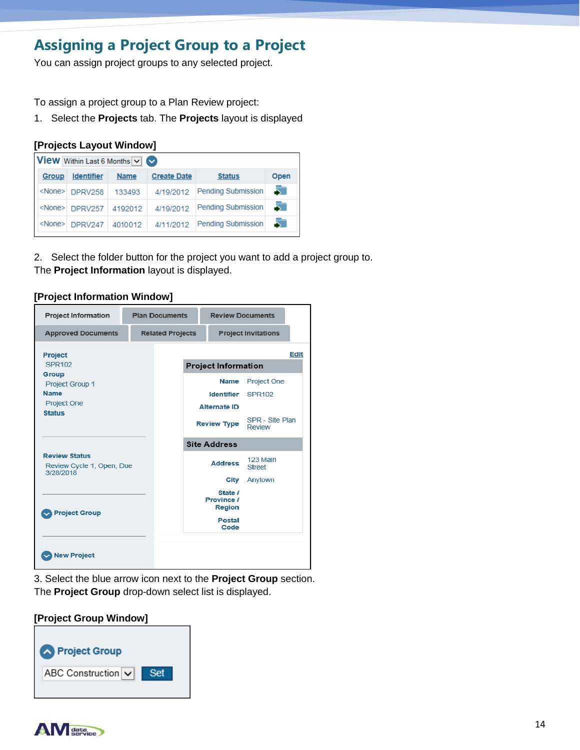### **Assigning a Project Group to a Project**

You can assign project groups to any selected project.

To assign a project group to a Plan Review project:

1. Select the **Projects** tab. The **Projects** layout is displayed

#### **[Projects Layout Window]**

|       | <b>View</b> Within Last 6 Months $\vee$ |             |                    |                    |      |
|-------|-----------------------------------------|-------------|--------------------|--------------------|------|
| Group | <b>Identifier</b>                       | <b>Name</b> | <b>Create Date</b> | <b>Status</b>      | Open |
|       | <none> DPRV258</none>                   | 133493      | 4/19/2012          | Pending Submission | 51   |
|       | $<$ None $>$ DPRV257                    | 4192012     | 4/19/2012          | Pending Submission | 51   |
|       | $\leq$ None $\geq$ DPRV247              | 4010012     | 4/11/2012          | Pending Submission | 51   |

2. Select the folder button for the project you want to add a project group to. The **Project Information** layout is displayed.

| <b>Project Information</b>                                                     |  | <b>Plan Documents</b>   | <b>Review Documents</b>                |                            |      |
|--------------------------------------------------------------------------------|--|-------------------------|----------------------------------------|----------------------------|------|
| <b>Approved Documents</b>                                                      |  | <b>Related Projects</b> |                                        | <b>Project Invitations</b> |      |
| <b>Project</b>                                                                 |  |                         |                                        |                            | Edit |
| SPR102                                                                         |  |                         | <b>Project Information</b>             |                            |      |
| Group<br>Project Group 1<br><b>Name</b><br><b>Project One</b><br><b>Status</b> |  |                         | <b>Name</b>                            | Project One                |      |
|                                                                                |  |                         | Identifier                             | <b>SPR102</b>              |      |
|                                                                                |  |                         | <b>Alternate ID</b>                    |                            |      |
|                                                                                |  |                         | <b>Review Type</b>                     | SPR - Site Plan<br>Review  |      |
|                                                                                |  |                         | <b>Site Address</b>                    |                            |      |
| <b>Review Status</b><br>Review Cycle 1, Open, Due<br>3/28/2018                 |  |                         | <b>Address</b>                         | 123 Main<br>Street         |      |
|                                                                                |  |                         | City                                   | Anytown                    |      |
| <b>Project Group</b>                                                           |  |                         | State /<br>Province /<br><b>Region</b> |                            |      |
|                                                                                |  |                         | <b>Postal</b><br>Code                  |                            |      |
|                                                                                |  |                         |                                        |                            |      |

3. Select the blue arrow icon next to the **Project Group** section. The **Project Group** drop-down select list is displayed.

### **[Project Group Window]**



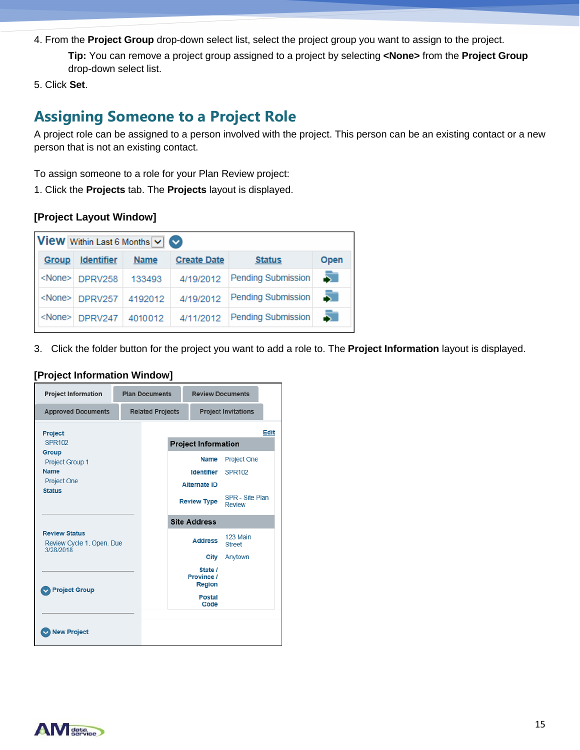4. From the **Project Group** drop-down select list, select the project group you want to assign to the project.

**Tip:** You can remove a project group assigned to a project by selecting **<None>** from the **Project Group**  drop-down select list.

5. Click **Set**.

### **Assigning Someone to a Project Role**

A project role can be assigned to a person involved with the project. This person can be an existing contact or a new person that is not an existing contact.

To assign someone to a role for your Plan Review project:

1. Click the **Projects** tab. The **Projects** layout is displayed.

### **[Project Layout Window]**

| <b>View</b> Within Last 6 Months $\vee$ $\heartsuit$ |                   |             |                    |                           |      |
|------------------------------------------------------|-------------------|-------------|--------------------|---------------------------|------|
| <b>Group</b>                                         | <b>Identifier</b> | <b>Name</b> | <b>Create Date</b> | <b>Status</b>             | Open |
| <none></none>                                        | DPRV258           | 133493      | 4/19/2012          | <b>Pending Submission</b> |      |
| <none></none>                                        | DPRV257           | 4192012     | 4/19/2012          | <b>Pending Submission</b> |      |
| <none></none>                                        | DPRV247           | 4010012     | 4/11/2012          | <b>Pending Submission</b> |      |

3. Click the folder button for the project you want to add a role to. The **Project Information** layout is displayed.

| <b>Project Information</b>                                     |  | <b>Plan Documents</b>   | <b>Review Documents</b>                |                                  |             |
|----------------------------------------------------------------|--|-------------------------|----------------------------------------|----------------------------------|-------------|
| <b>Approved Documents</b>                                      |  | <b>Related Projects</b> |                                        | <b>Project Invitations</b>       |             |
| Project                                                        |  |                         |                                        |                                  | <b>Edit</b> |
| <b>SPR102</b>                                                  |  |                         | <b>Project Information</b>             |                                  |             |
| Group                                                          |  |                         | <b>Name</b>                            | <b>Project One</b>               |             |
| <b>Project Group 1</b><br><b>Name</b>                          |  |                         | <b>Identifier</b>                      | SPR102                           |             |
| <b>Project One</b>                                             |  |                         |                                        |                                  |             |
| <b>Status</b>                                                  |  |                         | <b>Alternate ID</b>                    |                                  |             |
|                                                                |  |                         | <b>Review Type</b>                     | SPR - Site Plan<br><b>Review</b> |             |
|                                                                |  |                         | <b>Site Address</b>                    |                                  |             |
| <b>Review Status</b><br>Review Cycle 1, Open, Due<br>3/28/2018 |  |                         | <b>Address</b>                         | 123 Main<br><b>Street</b>        |             |
|                                                                |  |                         | City                                   | Anytown                          |             |
| <b>Project Group</b>                                           |  |                         | State /<br>Province /<br><b>Region</b> |                                  |             |
|                                                                |  |                         | <b>Postal</b><br>Code                  |                                  |             |
| <b>New Project</b>                                             |  |                         |                                        |                                  |             |

#### **[Project Information Window]**

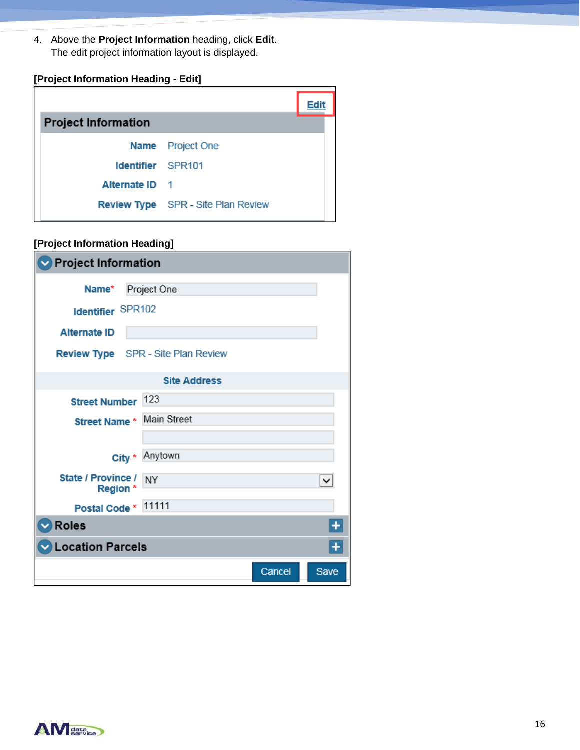4. Above the **Project Information** heading, click **Edit**. The edit project information layout is displayed.

### **[Project Information Heading - Edit]**

| <b>Project Information</b> |                                           |  |
|----------------------------|-------------------------------------------|--|
|                            | <b>Name</b> Project One                   |  |
| <b>Identifier</b> SPR101   |                                           |  |
| Alternate ID 1             |                                           |  |
|                            | <b>Review Type</b> SPR - Site Plan Review |  |

### **[Project Information Heading]**

| $\blacktriangleright$ Project Information |                                           |        |      |  |  |  |
|-------------------------------------------|-------------------------------------------|--------|------|--|--|--|
| Name*                                     | Project One                               |        |      |  |  |  |
|                                           | Identifier SPR102                         |        |      |  |  |  |
| <b>Alternate ID</b>                       |                                           |        |      |  |  |  |
|                                           | <b>Review Type</b> SPR - Site Plan Review |        |      |  |  |  |
|                                           | <b>Site Address</b>                       |        |      |  |  |  |
| Street Number 123                         |                                           |        |      |  |  |  |
| Street Name * Main Street                 |                                           |        |      |  |  |  |
|                                           |                                           |        |      |  |  |  |
| City *                                    | Anytown                                   |        |      |  |  |  |
| State / Province /<br>Region *            | <b>NY</b>                                 |        |      |  |  |  |
| Postal Code * 11111                       |                                           |        |      |  |  |  |
| $\triangledown$ Roles                     |                                           |        |      |  |  |  |
| Location Parcels                          |                                           |        |      |  |  |  |
|                                           |                                           | Cancel | Save |  |  |  |

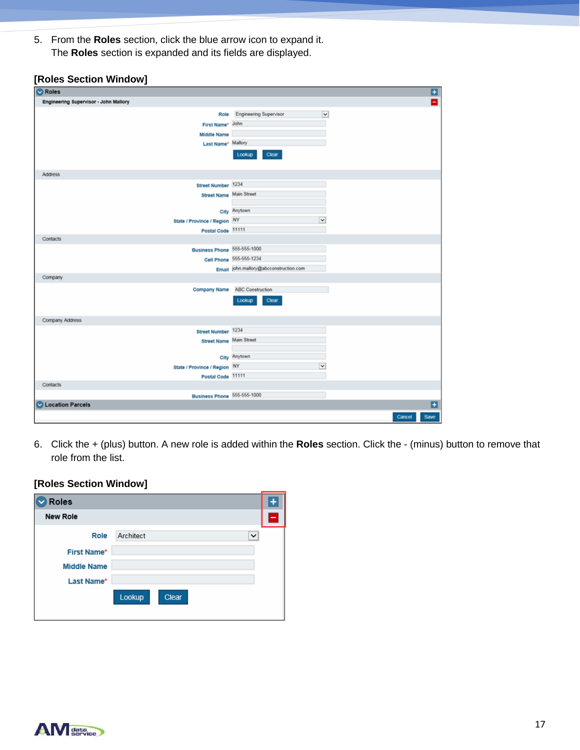5. From the **Roles** section, click the blue arrow icon to expand it. The **Roles** section is expanded and its fields are displayed.

|  | [Roles Section Window] |
|--|------------------------|
|  |                        |

| <b>C</b> Roles                        |                                        | Ξ                       |
|---------------------------------------|----------------------------------------|-------------------------|
| Engineering Supervisor - John Mallory |                                        | Е                       |
| Role                                  | <b>Engineering Supervisor</b>          | $\overline{\mathbf{v}}$ |
| First Name* John                      |                                        |                         |
| <b>Middle Name</b>                    |                                        |                         |
| Last Name <sup>*</sup> Mallory        |                                        |                         |
|                                       | Lookup<br>Clear                        |                         |
| Address                               |                                        |                         |
| Street Number 1234                    |                                        |                         |
| <b>Street Name Main Street</b>        |                                        |                         |
|                                       |                                        |                         |
|                                       | City Anytown                           |                         |
| State / Province / Region NY          |                                        | $\checkmark$            |
| Postal Code 11111                     |                                        |                         |
| <b>Contacts</b>                       |                                        |                         |
| Business Phone 555-555-1000           |                                        |                         |
|                                       | Cell Phone 555-555-1234                |                         |
|                                       | Email john.mallory@abcconstruction.com |                         |
| Company                               |                                        |                         |
| Company Name                          | <b>ABC Construction</b>                |                         |
|                                       | Lookup<br>Clear                        |                         |
| Company Address                       |                                        |                         |
| Street Number 1234                    |                                        |                         |
| <b>Street Name Main Street</b>        |                                        |                         |
|                                       |                                        |                         |
|                                       | City Anytown                           | v                       |
| State / Province / Region NY          |                                        |                         |
| Postal Code 11111<br>Contacts         |                                        |                         |
| Business Phone 555-555-1000           |                                        |                         |
| <b>C</b> Location Parcels             |                                        | E                       |
|                                       |                                        |                         |
|                                       |                                        | Save<br>Cancel          |

6. Click the + (plus) button. A new role is added within the **Roles** section. Click the - (minus) button to remove that role from the list.

### **[Roles Section Window]**

| Roles                            |                          |  |
|----------------------------------|--------------------------|--|
| <b>New Role</b>                  |                          |  |
| Role<br><b>First Name*</b>       | Architect<br>$\check{ }$ |  |
| <b>Middle Name</b><br>Last Name* |                          |  |
|                                  | Lookup<br>Clear          |  |

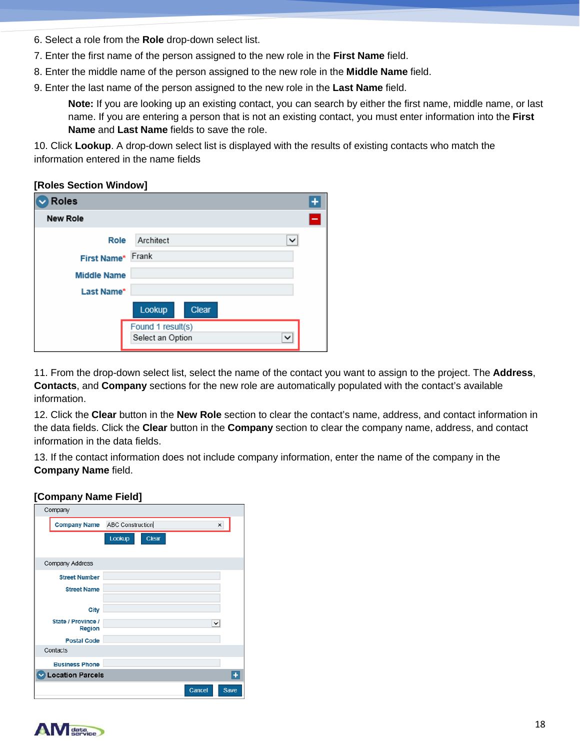- 6. Select a role from the **Role** drop-down select list.
- 7. Enter the first name of the person assigned to the new role in the **First Name** field.
- 8. Enter the middle name of the person assigned to the new role in the **Middle Name** field.
- 9. Enter the last name of the person assigned to the new role in the **Last Name** field.

**Note:** If you are looking up an existing contact, you can search by either the first name, middle name, or last name. If you are entering a person that is not an existing contact, you must enter information into the **First Name** and **Last Name** fields to save the role.

10. Click **Lookup**. A drop-down select list is displayed with the results of existing contacts who match the information entered in the name fields

#### **[Roles Section Window]**

| Roles              |                                       | ۰ |
|--------------------|---------------------------------------|---|
| <b>New Role</b>    |                                       | н |
| Role               | Architect<br>◡                        |   |
| First Name*        | Frank                                 |   |
| <b>Middle Name</b> |                                       |   |
| Last Name*         |                                       |   |
|                    | Lookup<br>Clear                       |   |
|                    | Found 1 result(s)<br>Select an Option |   |

11. From the drop-down select list, select the name of the contact you want to assign to the project. The **Address**, **Contacts**, and **Company** sections for the new role are automatically populated with the contact's available information.

12. Click the **Clear** button in the **New Role** section to clear the contact's name, address, and contact information in the data fields. Click the **Clear** button in the **Company** section to clear the company name, address, and contact information in the data fields.

13. If the contact information does not include company information, enter the name of the company in the **Company Name** field.

#### **[Company Name Field]**

| Company                             |                                                  |  |  |  |
|-------------------------------------|--------------------------------------------------|--|--|--|
|                                     | <b>Company Name</b> ABC Construction<br>$\times$ |  |  |  |
|                                     | Lookup<br>Clear                                  |  |  |  |
|                                     |                                                  |  |  |  |
| Company Address                     |                                                  |  |  |  |
| <b>Street Number</b>                |                                                  |  |  |  |
| <b>Street Name</b>                  |                                                  |  |  |  |
|                                     |                                                  |  |  |  |
| City                                |                                                  |  |  |  |
| State / Province /<br><b>Region</b> | $\checkmark$                                     |  |  |  |
| <b>Postal Code</b>                  |                                                  |  |  |  |
| Contacts                            |                                                  |  |  |  |
| <b>Business Phone</b>               |                                                  |  |  |  |
| $\ddot{}$<br>Location Parcels       |                                                  |  |  |  |
|                                     | Cancel<br>Save                                   |  |  |  |

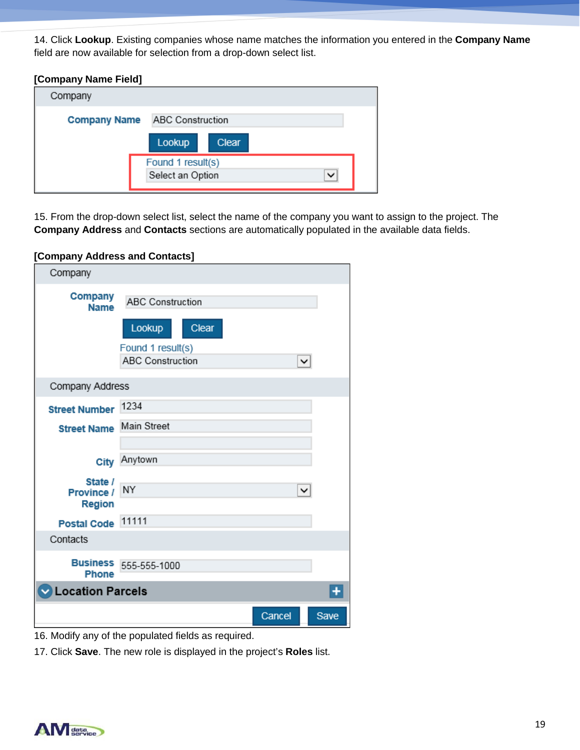14. Click **Lookup**. Existing companies whose name matches the information you entered in the **Company Name**  field are now available for selection from a drop-down select list.

### **[Company Name Field]**

| Company             |                                  |  |
|---------------------|----------------------------------|--|
| <b>Company Name</b> | <b>ABC Construction</b>          |  |
|                     | Lookup<br>Clear                  |  |
|                     | Found 1 result(s)                |  |
|                     | Select an Option<br>$\checkmark$ |  |

15. From the drop-down select list, select the name of the company you want to assign to the project. The **Company Address** and **Contacts** sections are automatically populated in the available data fields.

### **[Company Address and Contacts]**

| Company                                    |                                                                                            |              |      |
|--------------------------------------------|--------------------------------------------------------------------------------------------|--------------|------|
| Company<br><b>Name</b>                     | <b>ABC Construction</b><br>Lookup<br>Clear<br>Found 1 result(s)<br><b>ABC Construction</b> | $\checkmark$ |      |
| Company Address                            |                                                                                            |              |      |
| <b>Street Number</b><br><b>Street Name</b> | 1234<br><b>Main Street</b>                                                                 |              |      |
| City                                       | Anytown                                                                                    |              |      |
| State /<br>Province /<br><b>Region</b>     | NY                                                                                         | $\checkmark$ |      |
| <b>Postal Code</b>                         | 11111                                                                                      |              |      |
| Contacts                                   |                                                                                            |              |      |
| <b>Phone</b>                               | <b>Business</b> 555-555-1000                                                               |              |      |
| <b>Location Parcels</b>                    |                                                                                            |              |      |
|                                            |                                                                                            | Cancel       | Save |

16. Modify any of the populated fields as required.

17. Click **Save**. The new role is displayed in the project's **Roles** list.

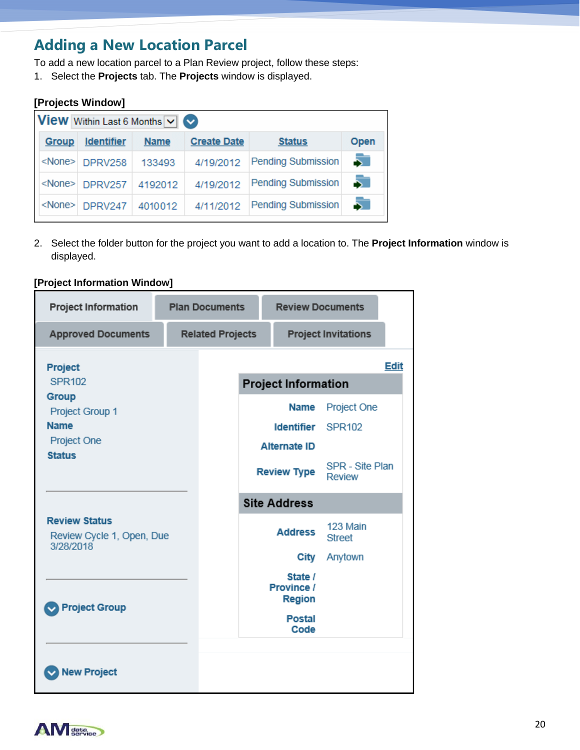### **Adding a New Location Parcel**

To add a new location parcel to a Plan Review project, follow these steps:

1. Select the **Projects** tab. The **Projects** window is displayed.

| [Projects Window]                                    |                   |             |                    |                           |      |  |  |
|------------------------------------------------------|-------------------|-------------|--------------------|---------------------------|------|--|--|
| <b>View</b> Within Last 6 Months $\vee$ $\heartsuit$ |                   |             |                    |                           |      |  |  |
| <b>Group</b>                                         | <b>Identifier</b> | <b>Name</b> | <b>Create Date</b> | <b>Status</b>             | Open |  |  |
| <none></none>                                        | DPRV258           | 133493      | 4/19/2012          | <b>Pending Submission</b> | 5    |  |  |
| <none></none>                                        | DPRV257           | 4192012     | 4/19/2012          | <b>Pending Submission</b> | 5.   |  |  |
| <none></none>                                        | DPRV247           | 4010012     | 4/11/2012          | <b>Pending Submission</b> |      |  |  |
|                                                      |                   |             |                    |                           |      |  |  |

2. Select the folder button for the project you want to add a location to. The **Project Information** window is displayed.

| <b>Project Information</b>                                     |  | <b>Plan Documents</b>   |                                           | <b>Review Documents</b>                |                              |             |
|----------------------------------------------------------------|--|-------------------------|-------------------------------------------|----------------------------------------|------------------------------|-------------|
| <b>Approved Documents</b>                                      |  | <b>Related Projects</b> |                                           |                                        | <b>Project Invitations</b>   |             |
| Project<br><b>SPR102</b>                                       |  |                         |                                           | <b>Project Information</b>             |                              | <b>Edit</b> |
| Group<br>Project Group 1<br><b>Name</b><br>Project One         |  |                         |                                           | <b>Name</b><br><b>Identifier</b>       | Project One<br><b>SPR102</b> |             |
| <b>Status</b>                                                  |  |                         | <b>Alternate ID</b><br><b>Review Type</b> | SPR - Site Plan<br><b>Review</b>       |                              |             |
|                                                                |  |                         |                                           | <b>Site Address</b>                    |                              |             |
| <b>Review Status</b><br>Review Cycle 1, Open, Due<br>3/28/2018 |  |                         |                                           | <b>Address</b>                         | 123 Main<br><b>Street</b>    |             |
|                                                                |  |                         |                                           | City                                   | Anytown                      |             |
| <b>Project Group</b>                                           |  |                         |                                           | State /<br>Province /<br><b>Region</b> |                              |             |
|                                                                |  |                         |                                           | <b>Postal</b><br>Code                  |                              |             |
| <b>New Project</b>                                             |  |                         |                                           |                                        |                              |             |

### **[Project Information Window]**

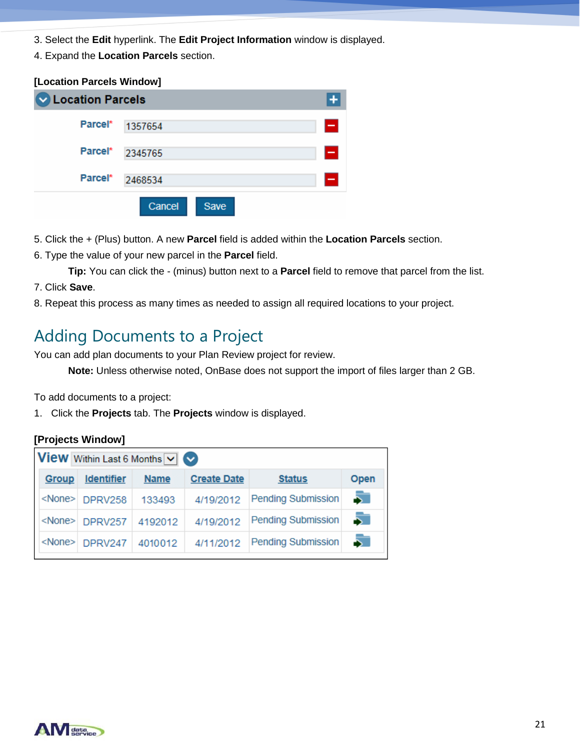- 3. Select the **Edit** hyperlink. The **Edit Project Information** window is displayed.
- 4. Expand the **Location Parcels** section.

### **[Location Parcels Window] V** Location Parcels  $+$ Parcel\* 1357654 Parcel\* 2345765 Parcel\* 2468534 Cancel Save

- 5. Click the + (Plus) button. A new **Parcel** field is added within the **Location Parcels** section.
- 6. Type the value of your new parcel in the **Parcel** field.

**Tip:** You can click the - (minus) button next to a **Parcel** field to remove that parcel from the list.

- 7. Click **Save**.
- 8. Repeat this process as many times as needed to assign all required locations to your project.

# Adding Documents to a Project

You can add plan documents to your Plan Review project for review.

**Note:** Unless otherwise noted, OnBase does not support the import of files larger than 2 GB.

To add documents to a project:

1. Click the **Projects** tab. The **Projects** window is displayed.

### **[Projects Window]**

|              | <b>View</b> Within Last 6 Months $\vee$ $\heartsuit$ |             |                    |                    |      |  |  |  |  |  |
|--------------|------------------------------------------------------|-------------|--------------------|--------------------|------|--|--|--|--|--|
| <b>Group</b> | <b>Identifier</b>                                    | <b>Name</b> | <b>Create Date</b> | <b>Status</b>      | Open |  |  |  |  |  |
|              | <none> DPRV258</none>                                | 133493      | 4/19/2012          | Pending Submission | 5    |  |  |  |  |  |
|              | <none> DPRV257</none>                                | 4192012     | 4/19/2012          | Pending Submission |      |  |  |  |  |  |
|              | <none> DPRV247</none>                                | 4010012     | 4/11/2012          | Pending Submission |      |  |  |  |  |  |

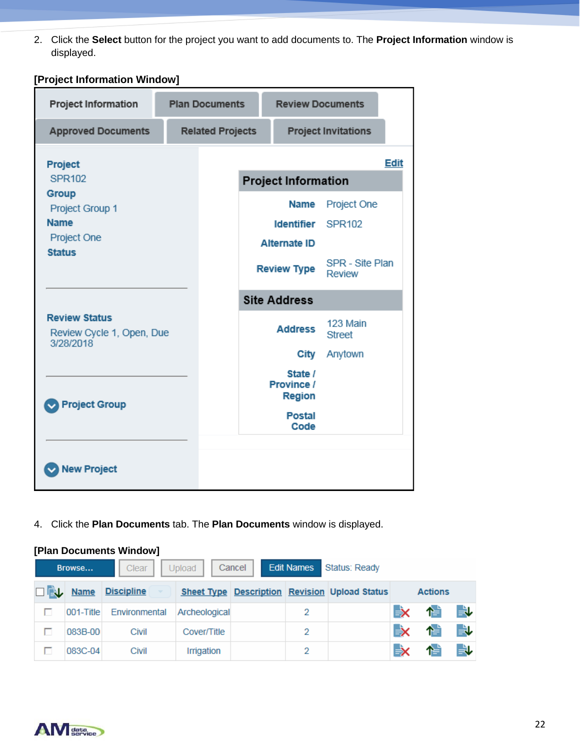2. Click the **Select** button for the project you want to add documents to. The **Project Information** window is displayed.

**[Project Information Window]** 

| <b>Project Information</b>                                                                          |  | <b>Review Documents</b><br><b>Plan Documents</b>            |                                                                                                      |                                                                  |             |
|-----------------------------------------------------------------------------------------------------|--|-------------------------------------------------------------|------------------------------------------------------------------------------------------------------|------------------------------------------------------------------|-------------|
| <b>Approved Documents</b>                                                                           |  | <b>Related Projects</b>                                     |                                                                                                      | <b>Project Invitations</b>                                       |             |
| Project<br><b>SPR102</b><br>Group<br>Project Group 1<br><b>Name</b><br>Project One<br><b>Status</b> |  |                                                             | <b>Project Information</b><br>Name<br><b>Identifier</b><br><b>Alternate ID</b><br><b>Review Type</b> | Project One<br><b>SPR102</b><br>SPR - Site Plan<br><b>Review</b> | <b>Edit</b> |
| <b>Review Status</b><br>Review Cycle 1, Open, Due<br>3/28/2018                                      |  |                                                             | <b>Site Address</b><br><b>Address</b><br>City<br>State /                                             | 123 Main<br><b>Street</b><br>Anytown                             |             |
| <b>Project Group</b>                                                                                |  | <b>Province /</b><br><b>Region</b><br><b>Postal</b><br>Code |                                                                                                      |                                                                  |             |
| <b>New Project</b>                                                                                  |  |                                                             |                                                                                                      |                                                                  |             |

4. Click the **Plan Documents** tab. The **Plan Documents** window is displayed.

### **[Plan Documents Window]**

|   | Browse          | Clear             | Upload        | Cancel | <b>Edit Names</b> | Status: Ready                                        |    |                |    |
|---|-----------------|-------------------|---------------|--------|-------------------|------------------------------------------------------|----|----------------|----|
|   | <b>DEL</b> Name | <b>Discipline</b> |               |        |                   | <b>Sheet Type Description Revision Upload Status</b> |    | <b>Actions</b> |    |
| п | 001-Title       | Environmental     | Archeological |        | 2                 |                                                      | Ьx | 憎              | ₩  |
| п | 083B-00         | Civil             | Cover/Title   |        | 2                 |                                                      | Еx | 憎              | 良し |
| п | 083C-04         | Civil             | Irrigation    |        | 2                 |                                                      | Ьx | 憎              | ₩  |

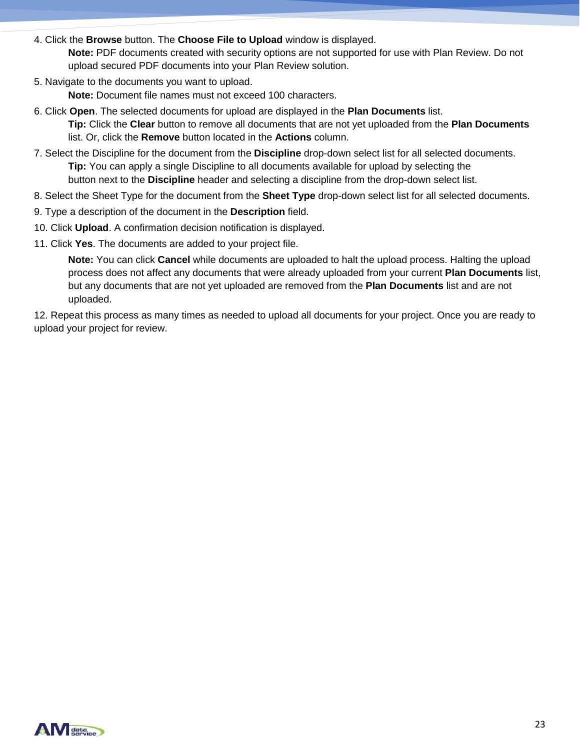4. Click the **Browse** button. The **Choose File to Upload** window is displayed.

**Note:** PDF documents created with security options are not supported for use with Plan Review. Do not upload secured PDF documents into your Plan Review solution.

5. Navigate to the documents you want to upload.

**Note:** Document file names must not exceed 100 characters.

- 6. Click **Open**. The selected documents for upload are displayed in the **Plan Documents** list. **Tip:** Click the **Clear** button to remove all documents that are not yet uploaded from the **Plan Documents**  list. Or, click the **Remove** button located in the **Actions** column.
- 7. Select the Discipline for the document from the **Discipline** drop-down select list for all selected documents. **Tip:** You can apply a single Discipline to all documents available for upload by selecting the button next to the **Discipline** header and selecting a discipline from the drop-down select list.
- 8. Select the Sheet Type for the document from the **Sheet Type** drop-down select list for all selected documents.
- 9. Type a description of the document in the **Description** field.
- 10. Click **Upload**. A confirmation decision notification is displayed.
- 11. Click **Yes**. The documents are added to your project file.

**Note:** You can click **Cancel** while documents are uploaded to halt the upload process. Halting the upload process does not affect any documents that were already uploaded from your current **Plan Documents** list, but any documents that are not yet uploaded are removed from the **Plan Documents** list and are not uploaded.

12. Repeat this process as many times as needed to upload all documents for your project. Once you are ready to upload your project for review.

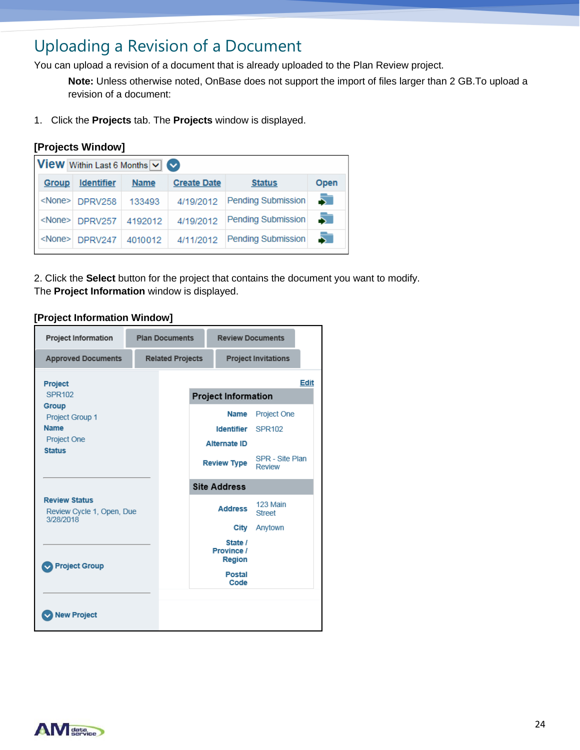# Uploading a Revision of a Document

You can upload a revision of a document that is already uploaded to the Plan Review project.

**Note:** Unless otherwise noted, OnBase does not support the import of files larger than 2 GB.To upload a revision of a document:

1. Click the **Projects** tab. The **Projects** window is displayed.

|               | [Projects Window]                                    |             |                    |                           |      |
|---------------|------------------------------------------------------|-------------|--------------------|---------------------------|------|
|               | <b>View</b> Within Last 6 Months $\vee$ $\heartsuit$ |             |                    |                           |      |
| <b>Group</b>  | <b>Identifier</b>                                    | <b>Name</b> | <b>Create Date</b> | <b>Status</b>             | Open |
| <none></none> | DPRV258                                              | 133493      | 4/19/2012          | <b>Pending Submission</b> | Ы    |
| <none></none> | DPRV257                                              | 4192012     | 4/19/2012          | <b>Pending Submission</b> |      |
| <none></none> | DPRV247                                              | 4010012     | 4/11/2012          | <b>Pending Submission</b> |      |

2. Click the **Select** button for the project that contains the document you want to modify. The **Project Information** window is displayed.

### **[Project Information Window]**



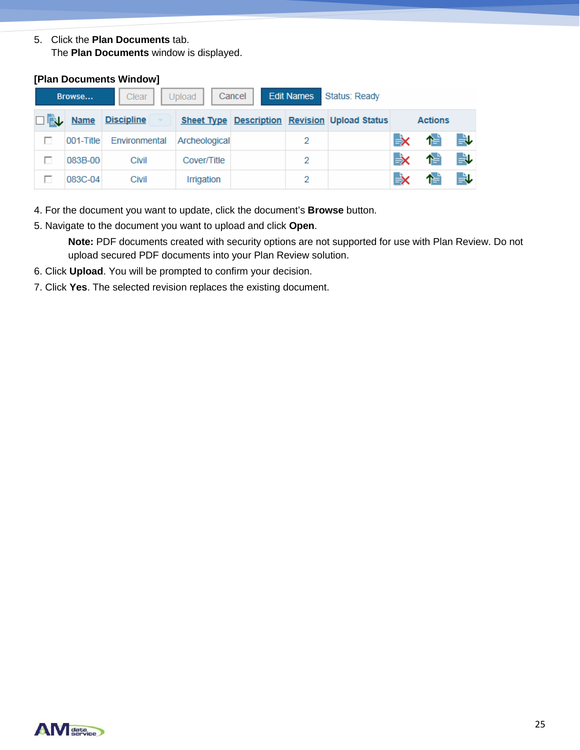5. Click the **Plan Documents** tab. The **Plan Documents** window is displayed.

| Cancel  <br>Upload<br>Clear<br>Browse |  |           |                   |               | <b>Edit Names</b> | Status: Ready |                                                      |     |                |    |  |
|---------------------------------------|--|-----------|-------------------|---------------|-------------------|---------------|------------------------------------------------------|-----|----------------|----|--|
|                                       |  | □L Name   | <b>Discipline</b> |               |                   |               | <b>Sheet Type Description Revision Upload Status</b> |     | <b>Actions</b> |    |  |
|                                       |  | 001-Title | Environmental     | Archeological |                   | 2             |                                                      | L.X | ↑              | ₩  |  |
|                                       |  | 083B-00   | Civil             | Cover/Title   |                   | 2             |                                                      | L.X | 忙              | 良し |  |
|                                       |  | 083C-04   | Civil             | Irrigation    |                   | 2             |                                                      | Еx  | 僧              | 良し |  |

**[Plan Documents Window]**

- 4. For the document you want to update, click the document's **Browse** button.
- 5. Navigate to the document you want to upload and click **Open**.

**Note:** PDF documents created with security options are not supported for use with Plan Review. Do not upload secured PDF documents into your Plan Review solution.

- 6. Click **Upload**. You will be prompted to confirm your decision.
- 7. Click **Yes**. The selected revision replaces the existing document.

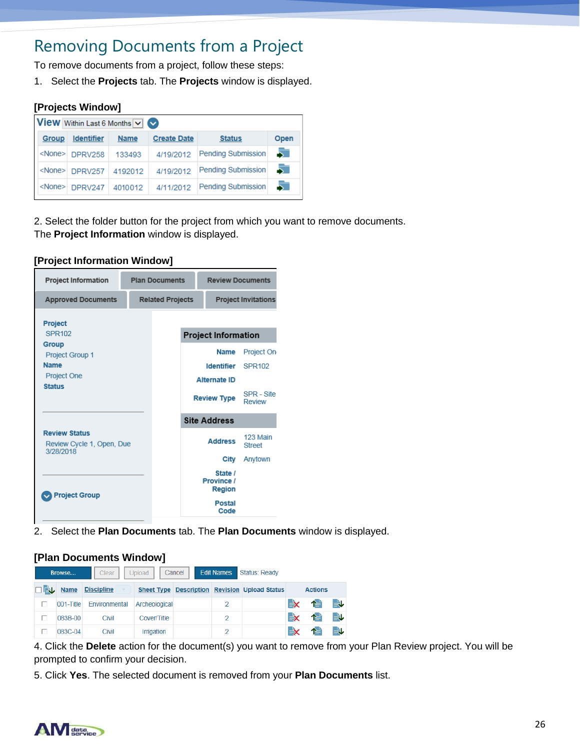### Removing Documents from a Project

To remove documents from a project, follow these steps:

1. Select the **Projects** tab. The **Projects** window is displayed.

### **[Projects Window]**

| View Within Last 6 Months V |                       |             |                    |                    |      |  |  |  |  |  |
|-----------------------------|-----------------------|-------------|--------------------|--------------------|------|--|--|--|--|--|
| <b>Group</b>                | <b>Identifier</b>     | <b>Name</b> | <b>Create Date</b> | <b>Status</b>      | Open |  |  |  |  |  |
| <none></none>               | DPRV258               | 133493      | 4/19/2012          | Pending Submission | 5    |  |  |  |  |  |
|                             | <none> DPRV257</none> | 4192012     | 4/19/2012          | Pending Submission | 5.   |  |  |  |  |  |
|                             | <none> DPRV247</none> | 4010012     | 4/11/2012          | Pending Submission | 5.   |  |  |  |  |  |

2. Select the folder button for the project from which you want to remove documents. The **Project Information** window is displayed.

#### **[Project Information Window]**

| <b>Project Information</b>                                     | <b>Plan Documents</b>   |                            | <b>Review Documents</b>                |                           |
|----------------------------------------------------------------|-------------------------|----------------------------|----------------------------------------|---------------------------|
| <b>Approved Documents</b>                                      | <b>Related Projects</b> | <b>Project Invitations</b> |                                        |                           |
| <b>Project</b><br>SPR102                                       |                         |                            | <b>Project Information</b>             |                           |
| Group<br>Project Group 1                                       |                         |                            | Name                                   | Project On                |
| <b>Name</b>                                                    |                         |                            | <b>Identifier</b>                      | SPR102                    |
| Project One                                                    |                         |                            | <b>Alternate ID</b>                    |                           |
| <b>Status</b>                                                  |                         |                            | <b>Review Type</b>                     | SPR - Site<br>Review      |
|                                                                |                         |                            | <b>Site Address</b>                    |                           |
| <b>Review Status</b><br>Review Cycle 1, Open, Due<br>3/28/2018 |                         |                            | <b>Address</b>                         | 123 Main<br><b>Street</b> |
|                                                                |                         |                            | City                                   | Anytown                   |
| <b>Project Group</b>                                           |                         |                            | State /<br>Province /<br><b>Region</b> |                           |
|                                                                |                         |                            | <b>Postal</b><br>Code                  |                           |

2. Select the **Plan Documents** tab. The **Plan Documents** window is displayed.

### **[Plan Documents Window]**

| <b>Edit Names</b><br>Status: Ready<br>Cancel<br>Upload<br>Browse<br><b>Clear</b> |   |                 |                   |               |  |   |                                               |    |                |   |
|----------------------------------------------------------------------------------|---|-----------------|-------------------|---------------|--|---|-----------------------------------------------|----|----------------|---|
|                                                                                  |   | <b>DEL</b> Name | <b>Discipline</b> |               |  |   | Sheet Type Description Revision Upload Status |    | <b>Actions</b> |   |
|                                                                                  | г | 001-Title       | Environmental     | Archeological |  |   |                                               | Еx | ↑≐             | B |
|                                                                                  |   | 083B-00         | Civil             | Cover/Title   |  | 2 |                                               | ЕX | ↑≐             | ₩ |
|                                                                                  |   | 083C-04         | <b>Civil</b>      | Irrigation    |  | 2 |                                               | ЕX | ↑≐             |   |

4. Click the **Delete** action for the document(s) you want to remove from your Plan Review project. You will be prompted to confirm your decision.

5. Click **Yes**. The selected document is removed from your **Plan Documents** list.

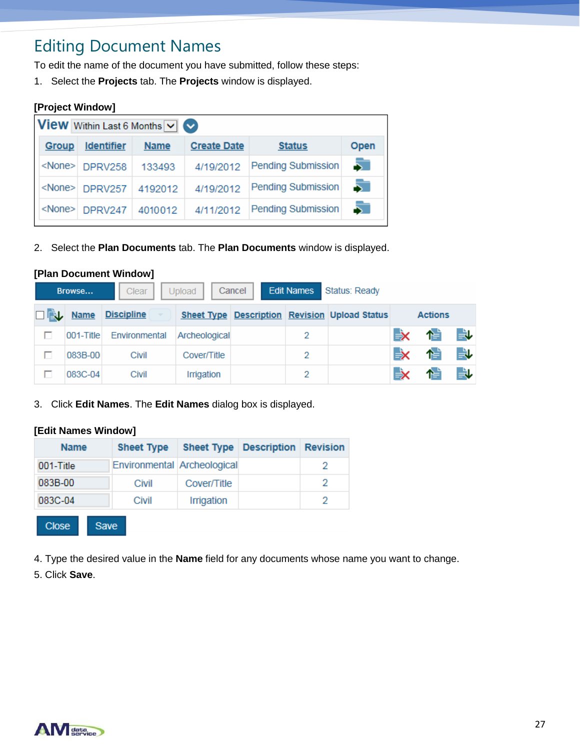# Editing Document Names

To edit the name of the document you have submitted, follow these steps:

1. Select the **Projects** tab. The **Projects** window is displayed.

| <b>View</b> Within Last 6 Months $\vee$ |                       |             |                    |                           |      |  |  |  |  |
|-----------------------------------------|-----------------------|-------------|--------------------|---------------------------|------|--|--|--|--|
| <b>Group</b>                            | <b>Identifier</b>     | <b>Name</b> | <b>Create Date</b> | <b>Status</b>             | Open |  |  |  |  |
| <none></none>                           | DPRV258               | 133493      | 4/19/2012          | <b>Pending Submission</b> | 5.   |  |  |  |  |
|                                         | <none> DPRV257</none> | 4192012     | 4/19/2012          | <b>Pending Submission</b> | 5.   |  |  |  |  |
| <none></none>                           | DPRV247               | 4010012     | 4/11/2012          | <b>Pending Submission</b> |      |  |  |  |  |

2. Select the **Plan Documents** tab. The **Plan Documents** window is displayed.

|                                                                           | [Plan Document Window] |                   |               |  |   |                                                      |    |                |     |  |  |
|---------------------------------------------------------------------------|------------------------|-------------------|---------------|--|---|------------------------------------------------------|----|----------------|-----|--|--|
| <b>Edit Names</b><br>Status: Ready<br>Cancel<br>Upload<br>Browse<br>Clear |                        |                   |               |  |   |                                                      |    |                |     |  |  |
| 口敲                                                                        | <b>Name</b>            | <b>Discipline</b> |               |  |   | <b>Sheet Type Description Revision Upload Status</b> |    | <b>Actions</b> |     |  |  |
|                                                                           | 001-Title              | Environmental     | Archeological |  | 2 |                                                      | ЕX | 怡              | B   |  |  |
|                                                                           | 083B-00                | Civil             | Cover/Title   |  | 2 |                                                      | Еx | 忙              | 良   |  |  |
|                                                                           | 083C-04                | Civil             | Irrigation    |  | 2 |                                                      | Еx | 憎              | ej. |  |  |

3. Click **Edit Names**. The **Edit Names** dialog box is displayed.

#### **[Edit Names Window]**

| <b>Name</b>  | <b>Sheet Type</b>           | <b>Sheet Type</b> | <b>Description</b> | <b>Revision</b> |
|--------------|-----------------------------|-------------------|--------------------|-----------------|
| 001-Title    | Environmental Archeological |                   |                    | 2               |
| 083B-00      | Civil                       | Cover/Title       |                    | 2               |
| 083C-04      | Civil                       | Irrigation        |                    | 2               |
| <b>Close</b> | Save                        |                   |                    |                 |

4. Type the desired value in the **Name** field for any documents whose name you want to change. **R**

5. Click **Save**.

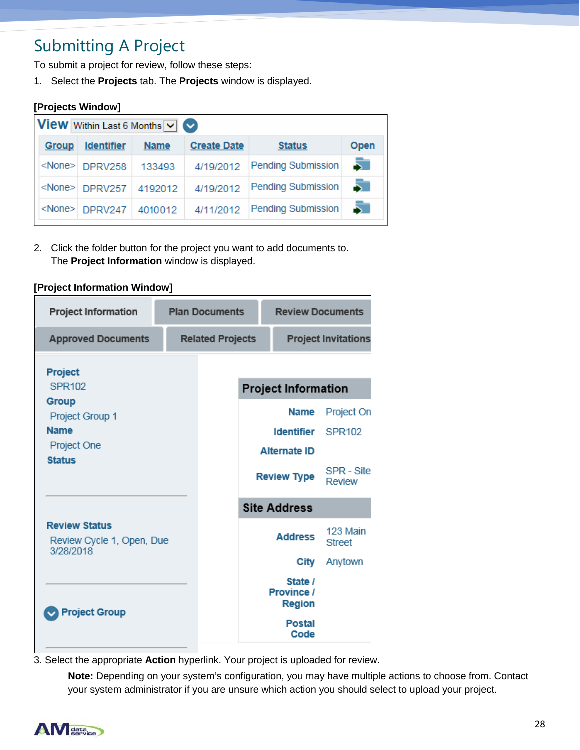# Submitting A Project

To submit a project for review, follow these steps:

1. Select the **Projects** tab. The **Projects** window is displayed.

|                                                      |             |                    |                           | [Projects Window] |  |  |  |  |  |  |  |  |
|------------------------------------------------------|-------------|--------------------|---------------------------|-------------------|--|--|--|--|--|--|--|--|
| <b>View</b> Within Last 6 Months $\vee$ $\heartsuit$ |             |                    |                           |                   |  |  |  |  |  |  |  |  |
| <b>Identifier</b>                                    | <b>Name</b> | <b>Create Date</b> | <b>Status</b>             | Open              |  |  |  |  |  |  |  |  |
| <none> DPRV258</none>                                | 133493      | 4/19/2012          | <b>Pending Submission</b> | 5                 |  |  |  |  |  |  |  |  |
| <none><br/><b>DPRV257</b></none>                     | 4192012     | 4/19/2012          | <b>Pending Submission</b> | 5.                |  |  |  |  |  |  |  |  |
| <none><br/>DPRV247</none>                            | 4010012     | 4/11/2012          | <b>Pending Submission</b> | 5.                |  |  |  |  |  |  |  |  |
|                                                      |             |                    |                           |                   |  |  |  |  |  |  |  |  |

2. Click the folder button for the project you want to add documents to. The **Project Information** window is displayed.

| <b>Project Information</b>                                     | <b>Plan Documents</b>   |  | <b>Review Documents</b>                |                            |
|----------------------------------------------------------------|-------------------------|--|----------------------------------------|----------------------------|
| <b>Approved Documents</b>                                      | <b>Related Projects</b> |  |                                        | <b>Project Invitations</b> |
| <b>Project</b>                                                 |                         |  |                                        |                            |
| <b>SPR102</b>                                                  |                         |  | <b>Project Information</b>             |                            |
| Group<br>Project Group 1                                       |                         |  | Name                                   | Project On                 |
| <b>Name</b>                                                    |                         |  | <b>Identifier</b>                      | SPR <sub>102</sub>         |
| Project One                                                    |                         |  | <b>Alternate ID</b>                    |                            |
| <b>Status</b>                                                  |                         |  |                                        |                            |
|                                                                |                         |  | <b>Review Type</b>                     | SPR - Site<br>Review       |
|                                                                |                         |  | <b>Site Address</b>                    |                            |
| <b>Review Status</b><br>Review Cycle 1, Open, Due<br>3/28/2018 |                         |  | <b>Address</b>                         | 123 Main<br><b>Street</b>  |
|                                                                |                         |  | City                                   | Anytown                    |
|                                                                |                         |  | State /<br>Province /<br><b>Region</b> |                            |
| Project Group                                                  |                         |  | <b>Postal</b><br>Code                  |                            |

#### **[Project Information Window]**

3. Select the appropriate **Action** hyperlink. Your project is uploaded for review.

**Note:** Depending on your system's configuration, you may have multiple actions to choose from. Contact your system administrator if you are unsure which action you should select to upload your project.

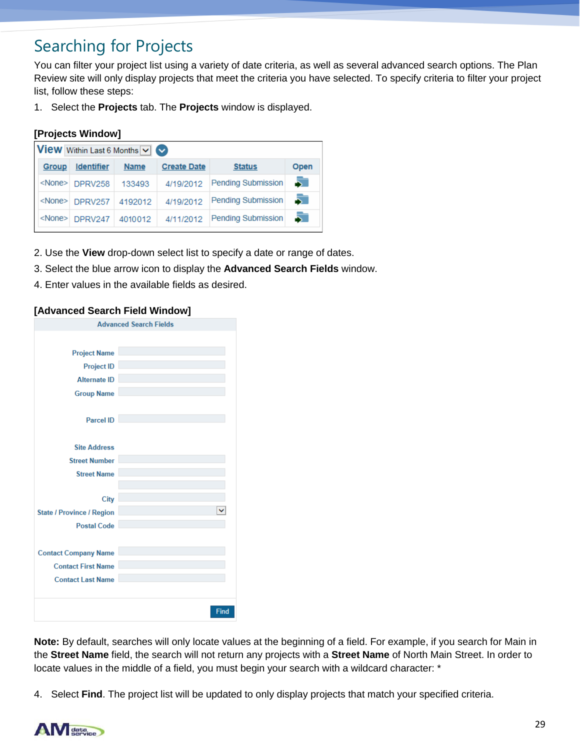# Searching for Projects

You can filter your project list using a variety of date criteria, as well as several advanced search options. The Plan Review site will only display projects that meet the criteria you have selected. To specify criteria to filter your project list, follow these steps:

1. Select the **Projects** tab. The **Projects** window is displayed.

### **[Projects Window]**

| <b>View</b> Within Last 6 Months $\boxed{\vee}$ |                         |             |                    |                    |      |  |  |
|-------------------------------------------------|-------------------------|-------------|--------------------|--------------------|------|--|--|
| <b>Group</b>                                    | <b>Identifier</b>       | <b>Name</b> | <b>Create Date</b> | <b>Status</b>      | Open |  |  |
|                                                 | <none> DPRV258</none>   | 133493      | 4/19/2012          | Pending Submission | 51   |  |  |
|                                                 | <none> DPRV257</none>   | 4192012     | 4/19/2012          | Pending Submission | 51   |  |  |
|                                                 | $\langle$ None> DPRV247 | 4010012     | 4/11/2012          | Pending Submission |      |  |  |

- 2. Use the **View** drop-down select list to specify a date or range of dates.
- 3. Select the blue arrow icon to display the **Advanced Search Fields** window.
- 4. Enter values in the available fields as desired.

|                                  | <b>Advanced Search Fields</b> |
|----------------------------------|-------------------------------|
|                                  |                               |
| <b>Project Name</b>              |                               |
| <b>Project ID</b>                |                               |
| <b>Alternate ID</b>              |                               |
| <b>Group Name</b>                |                               |
|                                  |                               |
| <b>Parcel ID</b>                 |                               |
|                                  |                               |
| <b>Site Address</b>              |                               |
| <b>Street Number</b>             |                               |
| <b>Street Name</b>               |                               |
|                                  |                               |
| City                             |                               |
| <b>State / Province / Region</b> |                               |
| <b>Postal Code</b>               |                               |
|                                  |                               |
| <b>Contact Company Name</b>      |                               |
| <b>Contact First Name</b>        |                               |
| <b>Contact Last Name</b>         |                               |
|                                  |                               |
|                                  | Find                          |

### **[Advanced Search Field Window]**

**Note:** By default, searches will only locate values at the beginning of a field. For example, if you search for Main in the **Street Name** field, the search will not return any projects with a **Street Name** of North Main Street. In order to locate values in the middle of a field, you must begin your search with a wildcard character: \*

4. Select **Find**. The project list will be updated to only display projects that match your specified criteria.

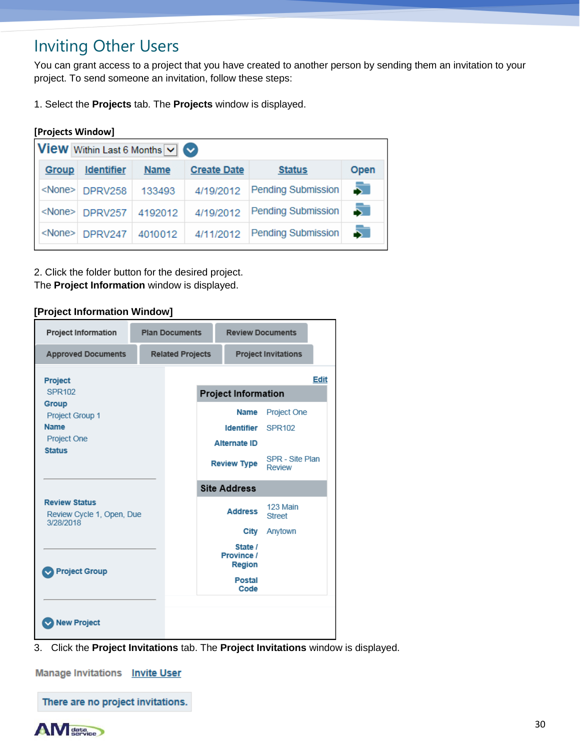# Inviting Other Users

You can grant access to a project that you have created to another person by sending them an invitation to your project. To send someone an invitation, follow these steps:

1. Select the **Projects** tab. The **Projects** window is displayed.

### **[Projects Window]**

| <b>View</b> Within Last 6 Months $\vee$ $\heartsuit$ |                       |             |                    |                           |      |  |  |  |
|------------------------------------------------------|-----------------------|-------------|--------------------|---------------------------|------|--|--|--|
| <b>Group</b>                                         | <b>Identifier</b>     | <b>Name</b> | <b>Create Date</b> | <b>Status</b>             | Open |  |  |  |
|                                                      | <none> DPRV258</none> | 133493      | 4/19/2012          | Pending Submission        |      |  |  |  |
|                                                      | <none> DPRV257</none> | 4192012     | 4/19/2012          | <b>Pending Submission</b> |      |  |  |  |
|                                                      | <none> DPRV247</none> | 4010012     | 4/11/2012          | Pending Submission        |      |  |  |  |

2. Click the folder button for the desired project. The **Project Information** window is displayed.

#### **[Project Information Window]**



3. Click the **Project Invitations** tab. The **Project Invitations** window is displayed.

**Manage Invitations Invite User** 

There are no project invitations.

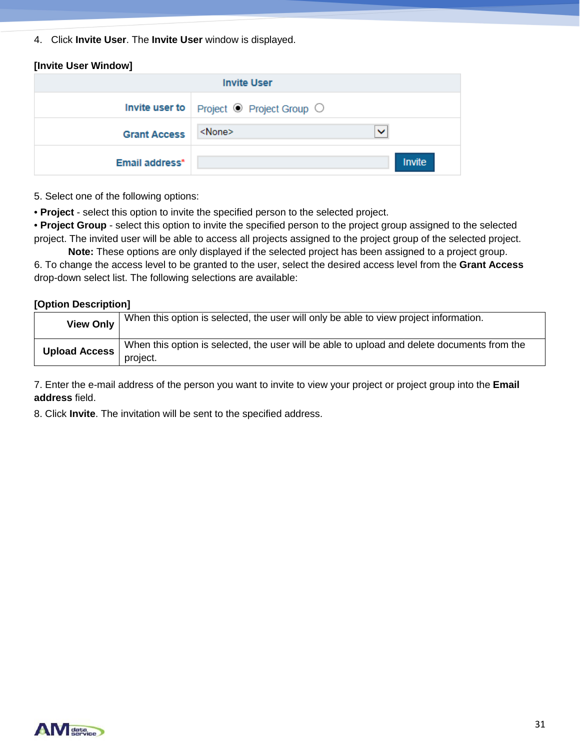4. Click **Invite User**. The **Invite User** window is displayed.

| [Invite User Window] |                                                              |               |  |  |  |  |
|----------------------|--------------------------------------------------------------|---------------|--|--|--|--|
| <b>Invite User</b>   |                                                              |               |  |  |  |  |
|                      | Invite user to $\vert$ Project $\odot$ Project Group $\odot$ |               |  |  |  |  |
| <b>Grant Access</b>  | <none></none>                                                | $\checkmark$  |  |  |  |  |
| Email address*       |                                                              | <b>Invite</b> |  |  |  |  |

5. Select one of the following options:

• **Project** - select this option to invite the specified person to the selected project.

• **Project Group** - select this option to invite the specified person to the project group assigned to the selected project. The invited user will be able to access all projects assigned to the project group of the selected project.

**Note:** These options are only displayed if the selected project has been assigned to a project group. 6. To change the access level to be granted to the user, select the desired access level from the **Grant Access**  drop-down select list. The following selections are available:

#### **[Option Description]**

| <b>View Only</b>     | When this option is selected, the user will only be able to view project information.       |
|----------------------|---------------------------------------------------------------------------------------------|
| <b>Upload Access</b> | When this option is selected, the user will be able to upload and delete documents from the |
|                      | project.                                                                                    |

7. Enter the e-mail address of the person you want to invite to view your project or project group into the **Email address** field.

8. Click **Invite**. The invitation will be sent to the specified address.

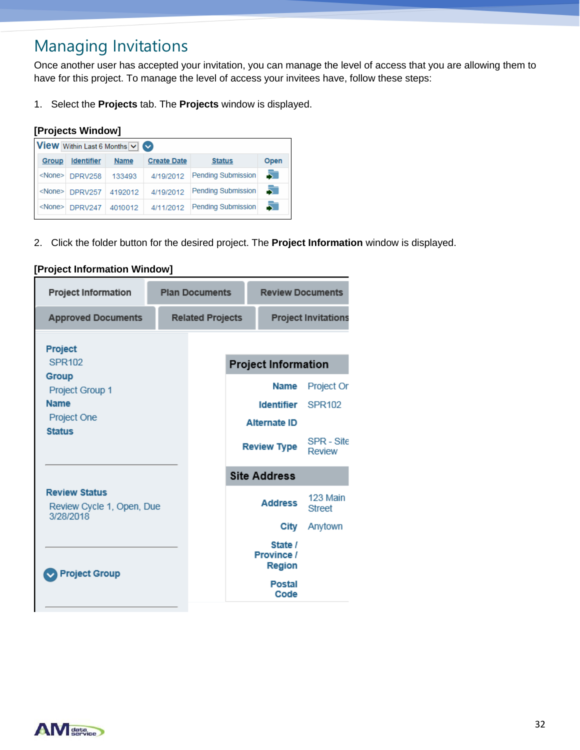# Managing Invitations

Once another user has accepted your invitation, you can manage the level of access that you are allowing them to have for this project. To manage the level of access your invitees have, follow these steps:

1. Select the **Projects** tab. The **Projects** window is displayed.

### **[Projects Window]**

| <b>View</b> Within Last 6 Months $\boxed{\vee}$ |                       |             |                    |                           |      |  |  |
|-------------------------------------------------|-----------------------|-------------|--------------------|---------------------------|------|--|--|
| <b>Group</b>                                    | <b>Identifier</b>     | <b>Name</b> | <b>Create Date</b> | <b>Status</b>             | Open |  |  |
|                                                 | <none> DPRV258</none> | 133493      | 4/19/2012          | <b>Pending Submission</b> | 5    |  |  |
|                                                 | <none> DPRV257</none> | 4192012     | 4/19/2012          | <b>Pending Submission</b> | 51   |  |  |
|                                                 | <none> DPRV247</none> | 4010012     | 4/11/2012          | <b>Pending Submission</b> | 51   |  |  |

2. Click the folder button for the desired project. The **Project Information** window is displayed.

| <b>Project Information</b>                                     | <b>Plan Documents</b>   |  | <b>Review Documents</b>                                 |                                  |
|----------------------------------------------------------------|-------------------------|--|---------------------------------------------------------|----------------------------------|
| <b>Approved Documents</b>                                      | <b>Related Projects</b> |  |                                                         | <b>Project Invitations</b>       |
| Project<br>SPR102                                              |                         |  | <b>Project Information</b>                              |                                  |
| Group<br>Project Group 1<br><b>Name</b><br>Project One         |                         |  | <b>Name</b><br><b>Identifier</b><br><b>Alternate ID</b> | Project Or<br>SPR <sub>102</sub> |
| <b>Status</b>                                                  |                         |  | <b>Review Type</b>                                      | SPR - Site<br><b>Review</b>      |
|                                                                |                         |  | <b>Site Address</b>                                     |                                  |
| <b>Review Status</b><br>Review Cycle 1, Open, Due<br>3/28/2018 |                         |  | <b>Address</b>                                          | 123 Main<br><b>Street</b>        |
|                                                                |                         |  | City                                                    | Anytown                          |
| <b>Project Group</b>                                           |                         |  | State /<br>Province /<br><b>Region</b>                  |                                  |
|                                                                |                         |  | <b>Postal</b><br>Code                                   |                                  |

### **[Project Information Window]**

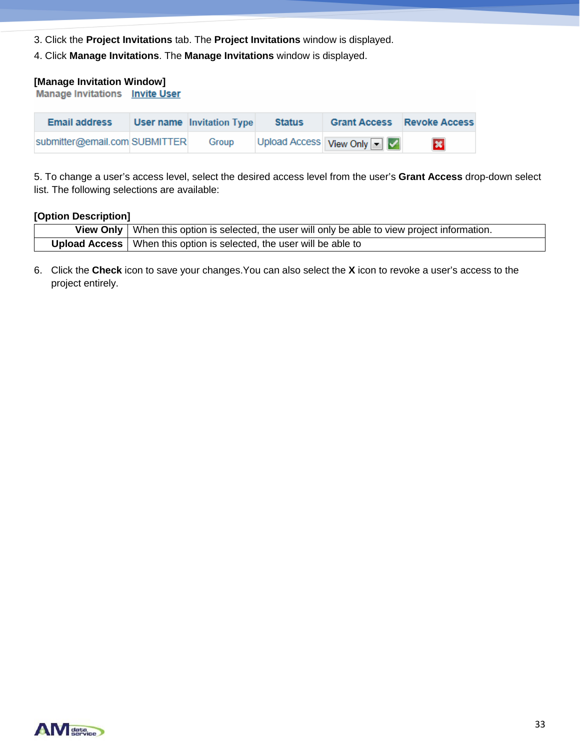- 3. Click the **Project Invitations** tab. The **Project Invitations** window is displayed.
- 4. Click **Manage Invitations**. The **Manage Invitations** window is displayed.

# **[Manage Invitation Window]**

| <b>Email address</b>          | <b>User name</b> Invitation Type | <b>Status</b> | <b>Grant Access</b>       | <b>Revoke Access</b> |
|-------------------------------|----------------------------------|---------------|---------------------------|----------------------|
| submitter@email.com SUBMITTER | Group                            |               | Upload Access View Only V | $\infty$             |

5. To change a user's access level, select the desired access level from the user's **Grant Access** drop-down select list. The following selections are available:

#### **[Option Description]**

| View Only   When this option is selected, the user will only be able to view project information. |
|---------------------------------------------------------------------------------------------------|
| <b>Upload Access</b>   When this option is selected, the user will be able to                     |

6. Click the **Check** icon to save your changes.You can also select the **X** icon to revoke a user's access to the project entirely.

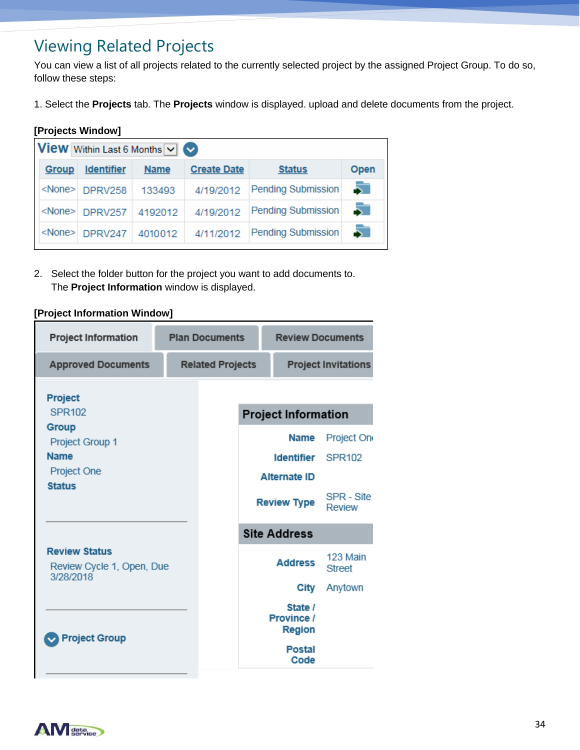# Viewing Related Projects

You can view a list of all projects related to the currently selected project by the assigned Project Group. To do so, follow these steps:

1. Select the **Projects** tab. The **Projects** window is displayed. upload and delete documents from the project.

### **[Projects Window]**

| <b>View</b> Within Last 6 Months $\vee$ $\heartsuit$ |                       |             |                    |                           |      |  |  |
|------------------------------------------------------|-----------------------|-------------|--------------------|---------------------------|------|--|--|
| Group                                                | <b>Identifier</b>     | <b>Name</b> | <b>Create Date</b> | <b>Status</b>             | Open |  |  |
|                                                      | <none> DPRV258</none> | 133493      | 4/19/2012          | Pending Submission        | 5    |  |  |
|                                                      | <none> DPRV257</none> | 4192012     | 4/19/2012          | <b>Pending Submission</b> |      |  |  |
| <none></none>                                        | DPRV247               | 4010012     | 4/11/2012          | <b>Pending Submission</b> | 5.   |  |  |

2. Select the folder button for the project you want to add documents to. The **Project Information** window is displayed.

#### **[Project Information Window]**

| <b>Project Information</b>                                     | <b>Plan Documents</b> |                         |                            | <b>Review Documents</b>                |                           |
|----------------------------------------------------------------|-----------------------|-------------------------|----------------------------|----------------------------------------|---------------------------|
| <b>Approved Documents</b>                                      |                       | <b>Related Projects</b> | <b>Project Invitations</b> |                                        |                           |
| Project                                                        |                       |                         |                            |                                        |                           |
| SPR102                                                         |                       |                         |                            | <b>Project Information</b>             |                           |
| Group<br>Project Group 1                                       |                       |                         |                            | Name                                   | Project On                |
| <b>Name</b>                                                    |                       |                         |                            | Identifier                             | SPR <sub>102</sub>        |
| Project One                                                    |                       |                         |                            | <b>Alternate ID</b>                    |                           |
| <b>Status</b>                                                  |                       |                         |                            |                                        |                           |
|                                                                |                       |                         |                            | <b>Review Type</b>                     | SPR - Site<br>Review      |
|                                                                |                       |                         |                            | <b>Site Address</b>                    |                           |
| <b>Review Status</b><br>Review Cycle 1, Open, Due<br>3/28/2018 |                       |                         |                            | <b>Address</b>                         | 123 Main<br><b>Street</b> |
|                                                                |                       |                         |                            | City                                   | Anytown                   |
|                                                                |                       |                         |                            | State /<br>Province /<br><b>Region</b> |                           |
| <b>Project Group</b>                                           |                       |                         |                            | <b>Postal</b><br>Code                  |                           |

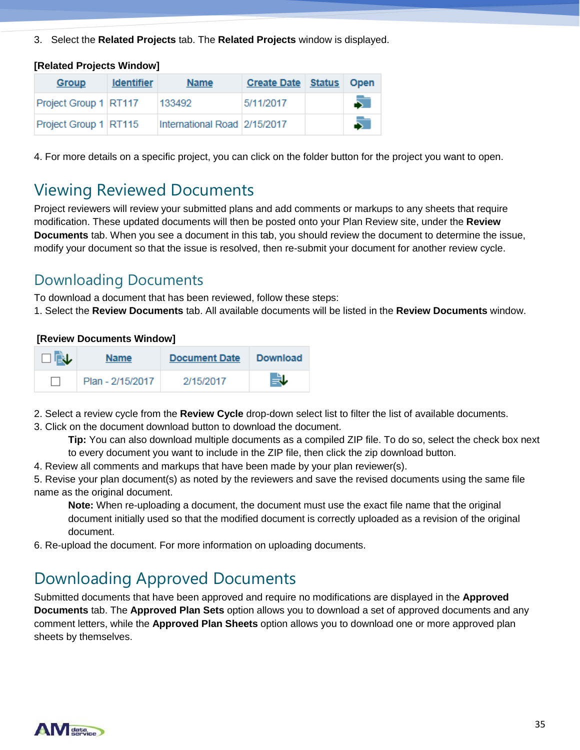3. Select the **Related Projects** tab. The **Related Projects** window is displayed.

| [Related Projects Window] |                   |                              |                           |             |
|---------------------------|-------------------|------------------------------|---------------------------|-------------|
| Group                     | <b>Identifier</b> | <b>Name</b>                  | <b>Create Date Status</b> | <b>Open</b> |
| Project Group 1 RT117     |                   | 133492                       | 5/11/2017                 | Б           |
| Project Group 1 RT115     |                   | International Road 2/15/2017 |                           | 5           |

4. For more details on a specific project, you can click on the folder button for the project you want to open.

# Viewing Reviewed Documents

Project reviewers will review your submitted plans and add comments or markups to any sheets that require modification. These updated documents will then be posted onto your Plan Review site, under the **Review Documents** tab. When you see a document in this tab, you should review the document to determine the issue, modify your document so that the issue is resolved, then re-submit your document for another review cycle.

### Downloading Documents

To download a document that has been reviewed, follow these steps:

1. Select the **Review Documents** tab. All available documents will be listed in the **Review Documents** window.

### **[Review Documents Window]**

| $\square$ in $\blacktriangleright$ | <b>Name</b>      | <b>Document Date</b> | <b>Download</b> |
|------------------------------------|------------------|----------------------|-----------------|
|                                    | Plan - 2/15/2017 | 2/15/2017            | 良し              |

2. Select a review cycle from the **Review Cycle** drop-down select list to filter the list of available documents.

3. Click on the document download button to download the document.

**Tip:** You can also download multiple documents as a compiled ZIP file. To do so, select the check box next to every document you want to include in the ZIP file, then click the zip download button.

4. Review all comments and markups that have been made by your plan reviewer(s).

5. Revise your plan document(s) as noted by the reviewers and save the revised documents using the same file name as the original document.

**Note:** When re-uploading a document, the document must use the exact file name that the original document initially used so that the modified document is correctly uploaded as a revision of the original document.

6. Re-upload the document. For more information on uploading documents.

# Downloading Approved Documents

Submitted documents that have been approved and require no modifications are displayed in the **Approved Documents** tab. The **Approved Plan Sets** option allows you to download a set of approved documents and any comment letters, while the **Approved Plan Sheets** option allows you to download one or more approved plan sheets by themselves.